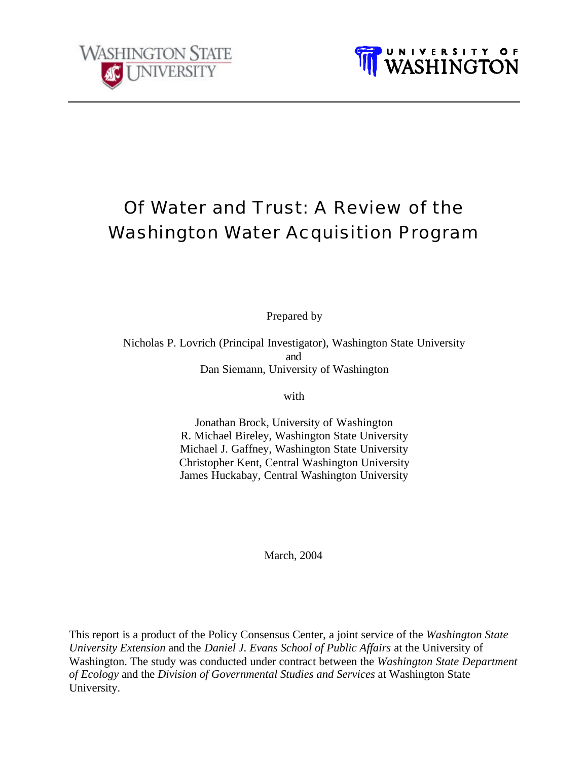



# Of Water and Trust: A Review of the Washington Water Acquisition Program

Prepared by

Nicholas P. Lovrich (Principal Investigator), Washington State University and Dan Siemann, University of Washington

with

Jonathan Brock, University of Washington R. Michael Bireley, Washington State University Michael J. Gaffney, Washington State University Christopher Kent, Central Washington University James Huckabay, Central Washington University

March, 2004

This report is a product of the Policy Consensus Center, a joint service of the *Washington State University Extension* and the *Daniel J. Evans School of Public Affairs* at the University of Washington. The study was conducted under contract between the *Washington State Department of Ecology* and the *Division of Governmental Studies and Services* at Washington State University.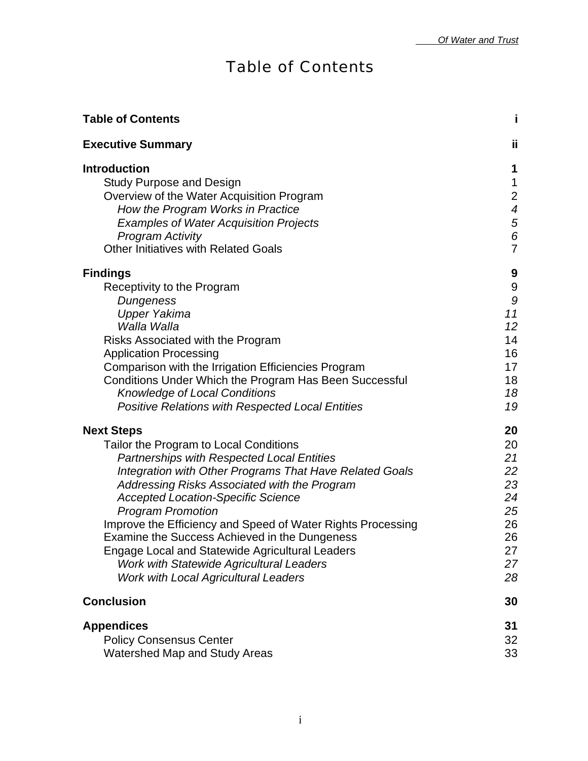# Table of Contents

| <b>Table of Contents</b>                                                                                                                                                                                                                                                                                                                                                                                                                                                                                                                                                         | i                                                                                          |
|----------------------------------------------------------------------------------------------------------------------------------------------------------------------------------------------------------------------------------------------------------------------------------------------------------------------------------------------------------------------------------------------------------------------------------------------------------------------------------------------------------------------------------------------------------------------------------|--------------------------------------------------------------------------------------------|
| <b>Executive Summary</b>                                                                                                                                                                                                                                                                                                                                                                                                                                                                                                                                                         | ïi                                                                                         |
| <b>Introduction</b><br><b>Study Purpose and Design</b><br>Overview of the Water Acquisition Program<br>How the Program Works in Practice<br><b>Examples of Water Acquisition Projects</b><br><b>Program Activity</b><br><b>Other Initiatives with Related Goals</b>                                                                                                                                                                                                                                                                                                              | 1<br>$\mathbf{1}$<br>$\overline{c}$<br>$\boldsymbol{4}$<br>$\frac{5}{6}$<br>$\overline{7}$ |
| <b>Findings</b><br>Receptivity to the Program<br>Dungeness<br><b>Upper Yakima</b><br>Walla Walla<br>Risks Associated with the Program<br><b>Application Processing</b><br>Comparison with the Irrigation Efficiencies Program<br>Conditions Under Which the Program Has Been Successful<br><b>Knowledge of Local Conditions</b><br><b>Positive Relations with Respected Local Entities</b>                                                                                                                                                                                       | 9<br>$\boldsymbol{9}$<br>$\boldsymbol{9}$<br>11<br>12<br>14<br>16<br>17<br>18<br>18<br>19  |
| <b>Next Steps</b><br>Tailor the Program to Local Conditions<br><b>Partnerships with Respected Local Entities</b><br>Integration with Other Programs That Have Related Goals<br>Addressing Risks Associated with the Program<br><b>Accepted Location-Specific Science</b><br><b>Program Promotion</b><br>Improve the Efficiency and Speed of Water Rights Processing<br>Examine the Success Achieved in the Dungeness<br><b>Engage Local and Statewide Agricultural Leaders</b><br><b>Work with Statewide Agricultural Leaders</b><br><b>Work with Local Agricultural Leaders</b> | 20<br>20<br>21<br>22<br>23<br>24<br>25<br>26<br>26<br>27<br>27<br>28                       |
| <b>Conclusion</b>                                                                                                                                                                                                                                                                                                                                                                                                                                                                                                                                                                | 30                                                                                         |
| <b>Appendices</b><br><b>Policy Consensus Center</b><br><b>Watershed Map and Study Areas</b>                                                                                                                                                                                                                                                                                                                                                                                                                                                                                      | 31<br>32<br>33                                                                             |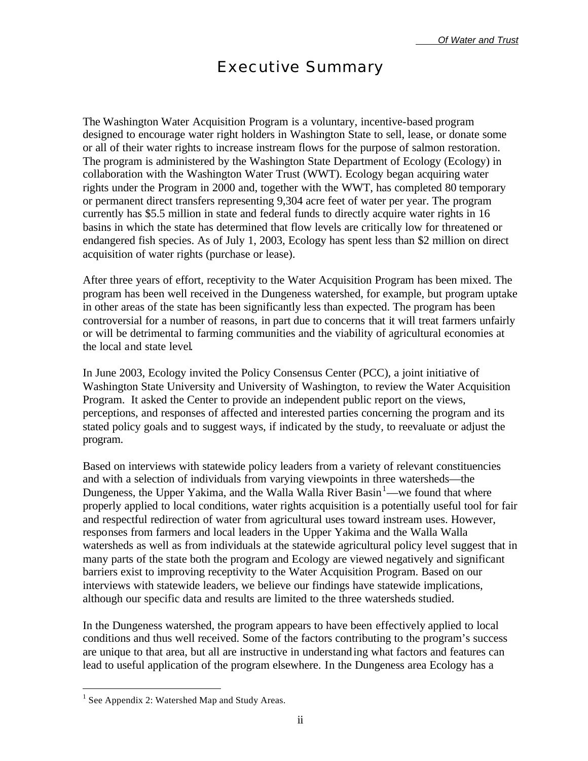## Executive Summary

The Washington Water Acquisition Program is a voluntary, incentive-based program designed to encourage water right holders in Washington State to sell, lease, or donate some or all of their water rights to increase instream flows for the purpose of salmon restoration. The program is administered by the Washington State Department of Ecology (Ecology) in collaboration with the Washington Water Trust (WWT). Ecology began acquiring water rights under the Program in 2000 and, together with the WWT, has completed 80 temporary or permanent direct transfers representing 9,304 acre feet of water per year. The program currently has \$5.5 million in state and federal funds to directly acquire water rights in 16 basins in which the state has determined that flow levels are critically low for threatened or endangered fish species. As of July 1, 2003, Ecology has spent less than \$2 million on direct acquisition of water rights (purchase or lease).

After three years of effort, receptivity to the Water Acquisition Program has been mixed. The program has been well received in the Dungeness watershed, for example, but program uptake in other areas of the state has been significantly less than expected. The program has been controversial for a number of reasons, in part due to concerns that it will treat farmers unfairly or will be detrimental to farming communities and the viability of agricultural economies at the local and state level.

In June 2003, Ecology invited the Policy Consensus Center (PCC), a joint initiative of Washington State University and University of Washington, to review the Water Acquisition Program. It asked the Center to provide an independent public report on the views, perceptions, and responses of affected and interested parties concerning the program and its stated policy goals and to suggest ways, if indicated by the study, to reevaluate or adjust the program.

Based on interviews with statewide policy leaders from a variety of relevant constituencies and with a selection of individuals from varying viewpoints in three watersheds—the Dungeness, the Upper Yakima, and the Walla Walla River Basin<sup>1</sup>—we found that where properly applied to local conditions, water rights acquisition is a potentially useful tool for fair and respectful redirection of water from agricultural uses toward instream uses. However, responses from farmers and local leaders in the Upper Yakima and the Walla Walla watersheds as well as from individuals at the statewide agricultural policy level suggest that in many parts of the state both the program and Ecology are viewed negatively and significant barriers exist to improving receptivity to the Water Acquisition Program. Based on our interviews with statewide leaders, we believe our findings have statewide implications, although our specific data and results are limited to the three watersheds studied.

In the Dungeness watershed, the program appears to have been effectively applied to local conditions and thus well received. Some of the factors contributing to the program's success are unique to that area, but all are instructive in understanding what factors and features can lead to useful application of the program elsewhere. In the Dungeness area Ecology has a

 $\overline{a}$ 

<sup>&</sup>lt;sup>1</sup> See Appendix 2: Watershed Map and Study Areas.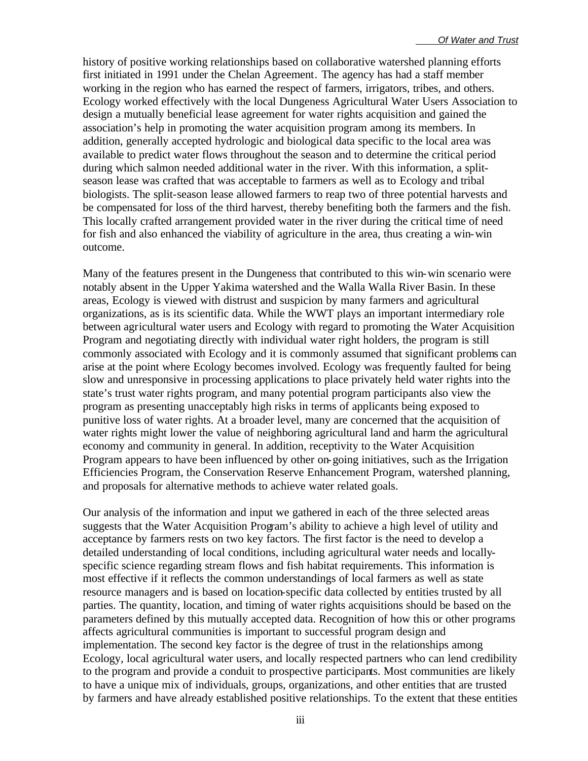history of positive working relationships based on collaborative watershed planning efforts first initiated in 1991 under the Chelan Agreement. The agency has had a staff member working in the region who has earned the respect of farmers, irrigators, tribes, and others. Ecology worked effectively with the local Dungeness Agricultural Water Users Association to design a mutually beneficial lease agreement for water rights acquisition and gained the association's help in promoting the water acquisition program among its members. In addition, generally accepted hydrologic and biological data specific to the local area was available to predict water flows throughout the season and to determine the critical period during which salmon needed additional water in the river. With this information, a splitseason lease was crafted that was acceptable to farmers as well as to Ecology and tribal biologists. The split-season lease allowed farmers to reap two of three potential harvests and be compensated for loss of the third harvest, thereby benefiting both the farmers and the fish. This locally crafted arrangement provided water in the river during the critical time of need for fish and also enhanced the viability of agriculture in the area, thus creating a win-win outcome.

Many of the features present in the Dungeness that contributed to this win-win scenario were notably absent in the Upper Yakima watershed and the Walla Walla River Basin. In these areas, Ecology is viewed with distrust and suspicion by many farmers and agricultural organizations, as is its scientific data. While the WWT plays an important intermediary role between agricultural water users and Ecology with regard to promoting the Water Acquisition Program and negotiating directly with individual water right holders, the program is still commonly associated with Ecology and it is commonly assumed that significant problems can arise at the point where Ecology becomes involved. Ecology was frequently faulted for being slow and unresponsive in processing applications to place privately held water rights into the state's trust water rights program, and many potential program participants also view the program as presenting unacceptably high risks in terms of applicants being exposed to punitive loss of water rights. At a broader level, many are concerned that the acquisition of water rights might lower the value of neighboring agricultural land and harm the agricultural economy and community in general. In addition, receptivity to the Water Acquisition Program appears to have been influenced by other on-going initiatives, such as the Irrigation Efficiencies Program, the Conservation Reserve Enhancement Program, watershed planning, and proposals for alternative methods to achieve water related goals.

Our analysis of the information and input we gathered in each of the three selected areas suggests that the Water Acquisition Program's ability to achieve a high level of utility and acceptance by farmers rests on two key factors. The first factor is the need to develop a detailed understanding of local conditions, including agricultural water needs and locallyspecific science regarding stream flows and fish habitat requirements. This information is most effective if it reflects the common understandings of local farmers as well as state resource managers and is based on location-specific data collected by entities trusted by all parties. The quantity, location, and timing of water rights acquisitions should be based on the parameters defined by this mutually accepted data. Recognition of how this or other programs affects agricultural communities is important to successful program design and implementation. The second key factor is the degree of trust in the relationships among Ecology, local agricultural water users, and locally respected partners who can lend credibility to the program and provide a conduit to prospective participants. Most communities are likely to have a unique mix of individuals, groups, organizations, and other entities that are trusted by farmers and have already established positive relationships. To the extent that these entities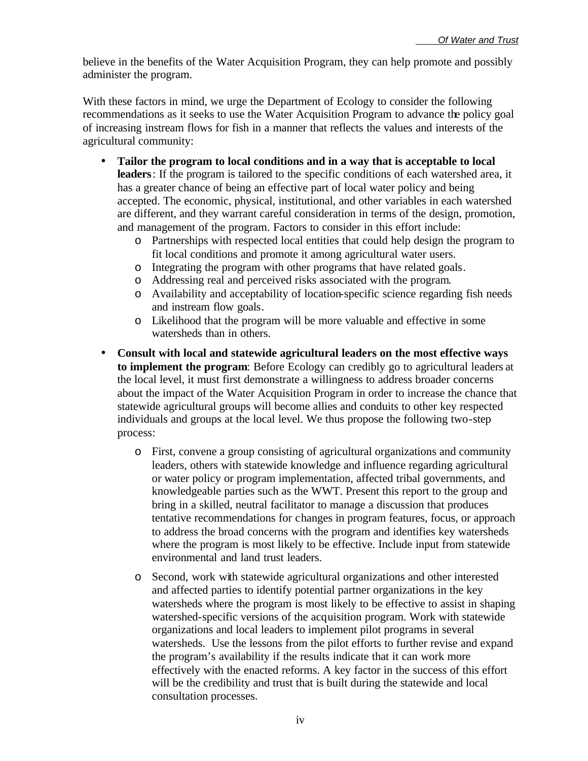believe in the benefits of the Water Acquisition Program, they can help promote and possibly administer the program.

With these factors in mind, we urge the Department of Ecology to consider the following recommendations as it seeks to use the Water Acquisition Program to advance the policy goal of increasing instream flows for fish in a manner that reflects the values and interests of the agricultural community:

- **Tailor the program to local conditions and in a way that is acceptable to local leaders**: If the program is tailored to the specific conditions of each watershed area, it has a greater chance of being an effective part of local water policy and being accepted. The economic, physical, institutional, and other variables in each watershed are different, and they warrant careful consideration in terms of the design, promotion, and management of the program. Factors to consider in this effort include:
	- o Partnerships with respected local entities that could help design the program to fit local conditions and promote it among agricultural water users.
	- o Integrating the program with other programs that have related goals.
	- o Addressing real and perceived risks associated with the program.
	- o Availability and acceptability of location-specific science regarding fish needs and instream flow goals.
	- o Likelihood that the program will be more valuable and effective in some watersheds than in others.
- **Consult with local and statewide agricultural leaders on the most effective ways to implement the program**: Before Ecology can credibly go to agricultural leaders at the local level, it must first demonstrate a willingness to address broader concerns about the impact of the Water Acquisition Program in order to increase the chance that statewide agricultural groups will become allies and conduits to other key respected individuals and groups at the local level. We thus propose the following two-step process:
	- o First, convene a group consisting of agricultural organizations and community leaders, others with statewide knowledge and influence regarding agricultural or water policy or program implementation, affected tribal governments, and knowledgeable parties such as the WWT. Present this report to the group and bring in a skilled, neutral facilitator to manage a discussion that produces tentative recommendations for changes in program features, focus, or approach to address the broad concerns with the program and identifies key watersheds where the program is most likely to be effective. Include input from statewide environmental and land trust leaders.
	- o Second, work with statewide agricultural organizations and other interested and affected parties to identify potential partner organizations in the key watersheds where the program is most likely to be effective to assist in shaping watershed-specific versions of the acquisition program. Work with statewide organizations and local leaders to implement pilot programs in several watersheds. Use the lessons from the pilot efforts to further revise and expand the program's availability if the results indicate that it can work more effectively with the enacted reforms. A key factor in the success of this effort will be the credibility and trust that is built during the statewide and local consultation processes.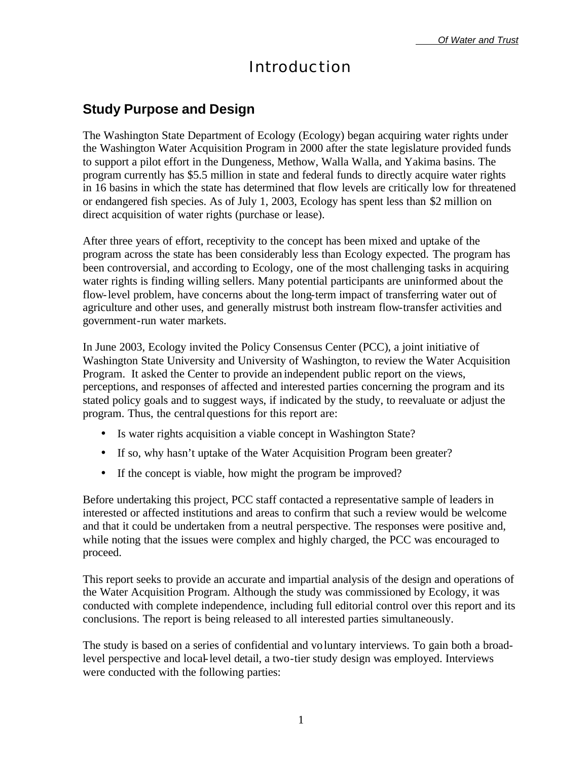## Introduction

### **Study Purpose and Design**

The Washington State Department of Ecology (Ecology) began acquiring water rights under the Washington Water Acquisition Program in 2000 after the state legislature provided funds to support a pilot effort in the Dungeness, Methow, Walla Walla, and Yakima basins. The program currently has \$5.5 million in state and federal funds to directly acquire water rights in 16 basins in which the state has determined that flow levels are critically low for threatened or endangered fish species. As of July 1, 2003, Ecology has spent less than \$2 million on direct acquisition of water rights (purchase or lease).

After three years of effort, receptivity to the concept has been mixed and uptake of the program across the state has been considerably less than Ecology expected. The program has been controversial, and according to Ecology, one of the most challenging tasks in acquiring water rights is finding willing sellers. Many potential participants are uninformed about the flow-level problem, have concerns about the long-term impact of transferring water out of agriculture and other uses, and generally mistrust both instream flow-transfer activities and government-run water markets.

In June 2003, Ecology invited the Policy Consensus Center (PCC), a joint initiative of Washington State University and University of Washington, to review the Water Acquisition Program. It asked the Center to provide an independent public report on the views, perceptions, and responses of affected and interested parties concerning the program and its stated policy goals and to suggest ways, if indicated by the study, to reevaluate or adjust the program. Thus, the central questions for this report are:

- Is water rights acquisition a viable concept in Washington State?
- If so, why hasn't uptake of the Water Acquisition Program been greater?
- If the concept is viable, how might the program be improved?

Before undertaking this project, PCC staff contacted a representative sample of leaders in interested or affected institutions and areas to confirm that such a review would be welcome and that it could be undertaken from a neutral perspective. The responses were positive and, while noting that the issues were complex and highly charged, the PCC was encouraged to proceed.

This report seeks to provide an accurate and impartial analysis of the design and operations of the Water Acquisition Program. Although the study was commissioned by Ecology, it was conducted with complete independence, including full editorial control over this report and its conclusions. The report is being released to all interested parties simultaneously.

The study is based on a series of confidential and voluntary interviews. To gain both a broadlevel perspective and local-level detail, a two-tier study design was employed. Interviews were conducted with the following parties: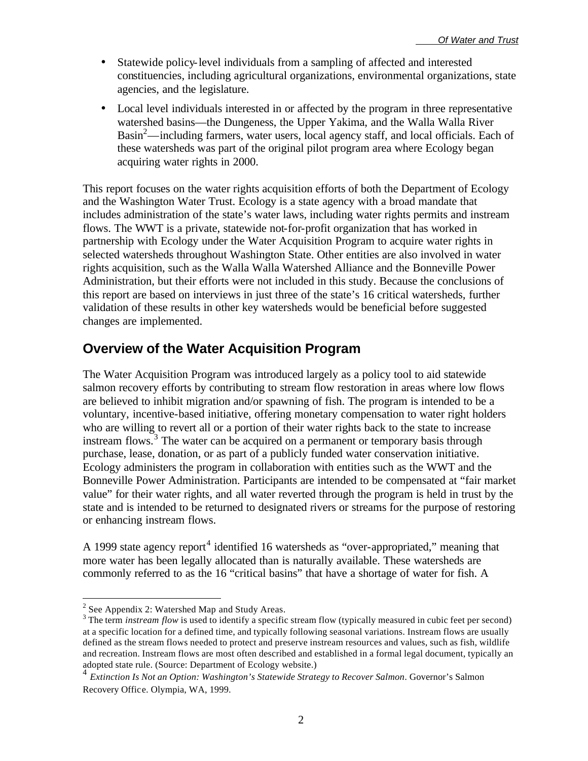- Statewide policy-level individuals from a sampling of affected and interested constituencies, including agricultural organizations, environmental organizations, state agencies, and the legislature.
- Local level individuals interested in or affected by the program in three representative watershed basins—the Dungeness, the Upper Yakima, and the Walla Walla River Basin<sup>2</sup>—including farmers, water users, local agency staff, and local officials. Each of these watersheds was part of the original pilot program area where Ecology began acquiring water rights in 2000.

This report focuses on the water rights acquisition efforts of both the Department of Ecology and the Washington Water Trust. Ecology is a state agency with a broad mandate that includes administration of the state's water laws, including water rights permits and instream flows. The WWT is a private, statewide not-for-profit organization that has worked in partnership with Ecology under the Water Acquisition Program to acquire water rights in selected watersheds throughout Washington State. Other entities are also involved in water rights acquisition, such as the Walla Walla Watershed Alliance and the Bonneville Power Administration, but their efforts were not included in this study. Because the conclusions of this report are based on interviews in just three of the state's 16 critical watersheds, further validation of these results in other key watersheds would be beneficial before suggested changes are implemented.

## **Overview of the Water Acquisition Program**

The Water Acquisition Program was introduced largely as a policy tool to aid statewide salmon recovery efforts by contributing to stream flow restoration in areas where low flows are believed to inhibit migration and/or spawning of fish. The program is intended to be a voluntary, incentive-based initiative, offering monetary compensation to water right holders who are willing to revert all or a portion of their water rights back to the state to increase instream flows.<sup>3</sup> The water can be acquired on a permanent or temporary basis through purchase, lease, donation, or as part of a publicly funded water conservation initiative. Ecology administers the program in collaboration with entities such as the WWT and the Bonneville Power Administration. Participants are intended to be compensated at "fair market value" for their water rights, and all water reverted through the program is held in trust by the state and is intended to be returned to designated rivers or streams for the purpose of restoring or enhancing instream flows.

A 1999 state agency report<sup>4</sup> identified 16 watersheds as "over-appropriated," meaning that more water has been legally allocated than is naturally available. These watersheds are commonly referred to as the 16 "critical basins" that have a shortage of water for fish. A

 $\overline{a}$ 

 $2$  See Appendix 2: Watershed Map and Study Areas.

 $3$  The term *instream flow* is used to identify a specific stream flow (typically measured in cubic feet per second) at a specific location for a defined time, and typically following seasonal variations. Instream flows are usually defined as the stream flows needed to protect and preserve instream resources and values, such as fish, wildlife and recreation. Instream flows are most often described and established in a formal legal document, typically an adopted state rule. (Source: Department of Ecology website.)

<sup>4</sup> *Extinction Is Not an Option: Washington's Statewide Strategy to Recover Salmon*. Governor's Salmon Recovery Office. Olympia, WA, 1999.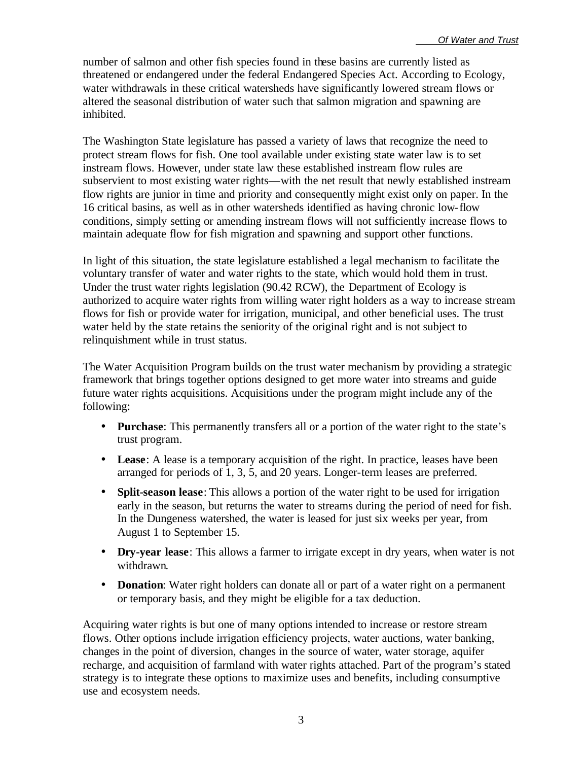number of salmon and other fish species found in these basins are currently listed as threatened or endangered under the federal Endangered Species Act. According to Ecology, water withdrawals in these critical watersheds have significantly lowered stream flows or altered the seasonal distribution of water such that salmon migration and spawning are inhibited.

The Washington State legislature has passed a variety of laws that recognize the need to protect stream flows for fish. One tool available under existing state water law is to set instream flows. However, under state law these established instream flow rules are subservient to most existing water rights—with the net result that newly established instream flow rights are junior in time and priority and consequently might exist only on paper. In the 16 critical basins, as well as in other watersheds identified as having chronic low-flow conditions, simply setting or amending instream flows will not sufficiently increase flows to maintain adequate flow for fish migration and spawning and support other functions.

In light of this situation, the state legislature established a legal mechanism to facilitate the voluntary transfer of water and water rights to the state, which would hold them in trust. Under the trust water rights legislation (90.42 RCW), the Department of Ecology is authorized to acquire water rights from willing water right holders as a way to increase stream flows for fish or provide water for irrigation, municipal, and other beneficial uses. The trust water held by the state retains the seniority of the original right and is not subject to relinquishment while in trust status.

The Water Acquisition Program builds on the trust water mechanism by providing a strategic framework that brings together options designed to get more water into streams and guide future water rights acquisitions. Acquisitions under the program might include any of the following:

- **Purchase**: This permanently transfers all or a portion of the water right to the state's trust program.
- **Lease**: A lease is a temporary acquisition of the right. In practice, leases have been arranged for periods of 1, 3, 5, and 20 years. Longer-term leases are preferred.
- **Split-season lease**: This allows a portion of the water right to be used for irrigation early in the season, but returns the water to streams during the period of need for fish. In the Dungeness watershed, the water is leased for just six weeks per year, from August 1 to September 15.
- **Dry-year lease**: This allows a farmer to irrigate except in dry years, when water is not withdrawn.
- **Donation**: Water right holders can donate all or part of a water right on a permanent or temporary basis, and they might be eligible for a tax deduction.

Acquiring water rights is but one of many options intended to increase or restore stream flows. Other options include irrigation efficiency projects, water auctions, water banking, changes in the point of diversion, changes in the source of water, water storage, aquifer recharge, and acquisition of farmland with water rights attached. Part of the program's stated strategy is to integrate these options to maximize uses and benefits, including consumptive use and ecosystem needs.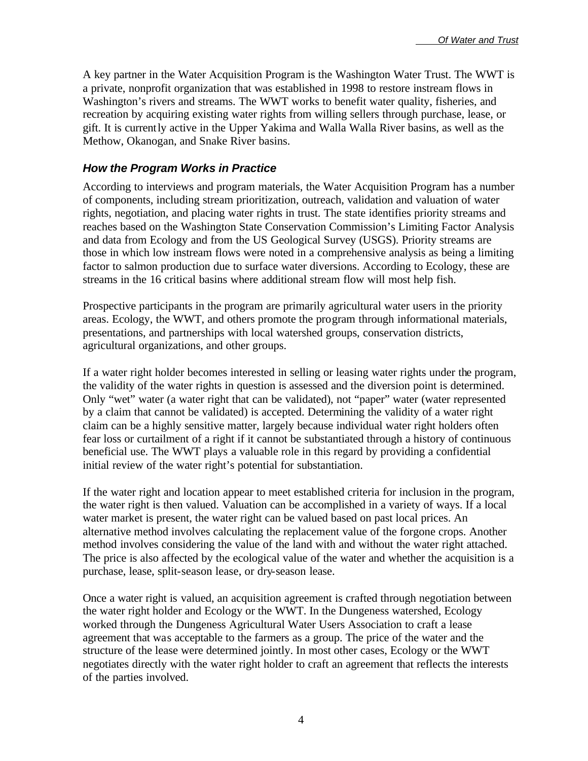A key partner in the Water Acquisition Program is the Washington Water Trust. The WWT is a private, nonprofit organization that was established in 1998 to restore instream flows in Washington's rivers and streams. The WWT works to benefit water quality, fisheries, and recreation by acquiring existing water rights from willing sellers through purchase, lease, or gift. It is currently active in the Upper Yakima and Walla Walla River basins, as well as the Methow, Okanogan, and Snake River basins.

#### *How the Program Works in Practice*

According to interviews and program materials, the Water Acquisition Program has a number of components, including stream prioritization, outreach, validation and valuation of water rights, negotiation, and placing water rights in trust. The state identifies priority streams and reaches based on the Washington State Conservation Commission's Limiting Factor Analysis and data from Ecology and from the US Geological Survey (USGS). Priority streams are those in which low instream flows were noted in a comprehensive analysis as being a limiting factor to salmon production due to surface water diversions. According to Ecology, these are streams in the 16 critical basins where additional stream flow will most help fish.

Prospective participants in the program are primarily agricultural water users in the priority areas. Ecology, the WWT, and others promote the program through informational materials, presentations, and partnerships with local watershed groups, conservation districts, agricultural organizations, and other groups.

If a water right holder becomes interested in selling or leasing water rights under the program, the validity of the water rights in question is assessed and the diversion point is determined. Only "wet" water (a water right that can be validated), not "paper" water (water represented by a claim that cannot be validated) is accepted. Determining the validity of a water right claim can be a highly sensitive matter, largely because individual water right holders often fear loss or curtailment of a right if it cannot be substantiated through a history of continuous beneficial use. The WWT plays a valuable role in this regard by providing a confidential initial review of the water right's potential for substantiation.

If the water right and location appear to meet established criteria for inclusion in the program, the water right is then valued. Valuation can be accomplished in a variety of ways. If a local water market is present, the water right can be valued based on past local prices. An alternative method involves calculating the replacement value of the forgone crops. Another method involves considering the value of the land with and without the water right attached. The price is also affected by the ecological value of the water and whether the acquisition is a purchase, lease, split-season lease, or dry-season lease.

Once a water right is valued, an acquisition agreement is crafted through negotiation between the water right holder and Ecology or the WWT. In the Dungeness watershed, Ecology worked through the Dungeness Agricultural Water Users Association to craft a lease agreement that was acceptable to the farmers as a group. The price of the water and the structure of the lease were determined jointly. In most other cases, Ecology or the WWT negotiates directly with the water right holder to craft an agreement that reflects the interests of the parties involved.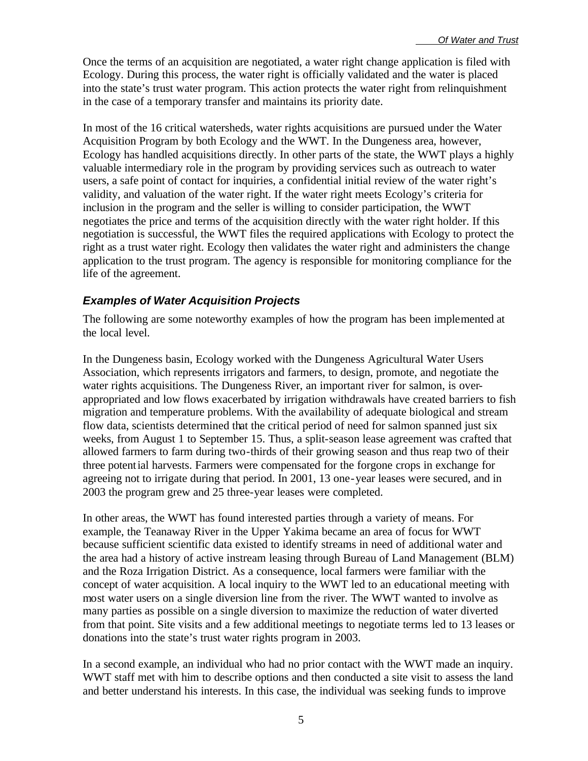Once the terms of an acquisition are negotiated, a water right change application is filed with Ecology. During this process, the water right is officially validated and the water is placed into the state's trust water program. This action protects the water right from relinquishment in the case of a temporary transfer and maintains its priority date.

In most of the 16 critical watersheds, water rights acquisitions are pursued under the Water Acquisition Program by both Ecology and the WWT. In the Dungeness area, however, Ecology has handled acquisitions directly. In other parts of the state, the WWT plays a highly valuable intermediary role in the program by providing services such as outreach to water users, a safe point of contact for inquiries, a confidential initial review of the water right's validity, and valuation of the water right. If the water right meets Ecology's criteria for inclusion in the program and the seller is willing to consider participation, the WWT negotiates the price and terms of the acquisition directly with the water right holder. If this negotiation is successful, the WWT files the required applications with Ecology to protect the right as a trust water right. Ecology then validates the water right and administers the change application to the trust program. The agency is responsible for monitoring compliance for the life of the agreement.

#### *Examples of Water Acquisition Projects*

The following are some noteworthy examples of how the program has been implemented at the local level.

In the Dungeness basin, Ecology worked with the Dungeness Agricultural Water Users Association, which represents irrigators and farmers, to design, promote, and negotiate the water rights acquisitions. The Dungeness River, an important river for salmon, is overappropriated and low flows exacerbated by irrigation withdrawals have created barriers to fish migration and temperature problems. With the availability of adequate biological and stream flow data, scientists determined that the critical period of need for salmon spanned just six weeks, from August 1 to September 15. Thus, a split-season lease agreement was crafted that allowed farmers to farm during two-thirds of their growing season and thus reap two of their three potential harvests. Farmers were compensated for the forgone crops in exchange for agreeing not to irrigate during that period. In 2001, 13 one-year leases were secured, and in 2003 the program grew and 25 three-year leases were completed.

In other areas, the WWT has found interested parties through a variety of means. For example, the Teanaway River in the Upper Yakima became an area of focus for WWT because sufficient scientific data existed to identify streams in need of additional water and the area had a history of active instream leasing through Bureau of Land Management (BLM) and the Roza Irrigation District. As a consequence, local farmers were familiar with the concept of water acquisition. A local inquiry to the WWT led to an educational meeting with most water users on a single diversion line from the river. The WWT wanted to involve as many parties as possible on a single diversion to maximize the reduction of water diverted from that point. Site visits and a few additional meetings to negotiate terms led to 13 leases or donations into the state's trust water rights program in 2003.

In a second example, an individual who had no prior contact with the WWT made an inquiry. WWT staff met with him to describe options and then conducted a site visit to assess the land and better understand his interests. In this case, the individual was seeking funds to improve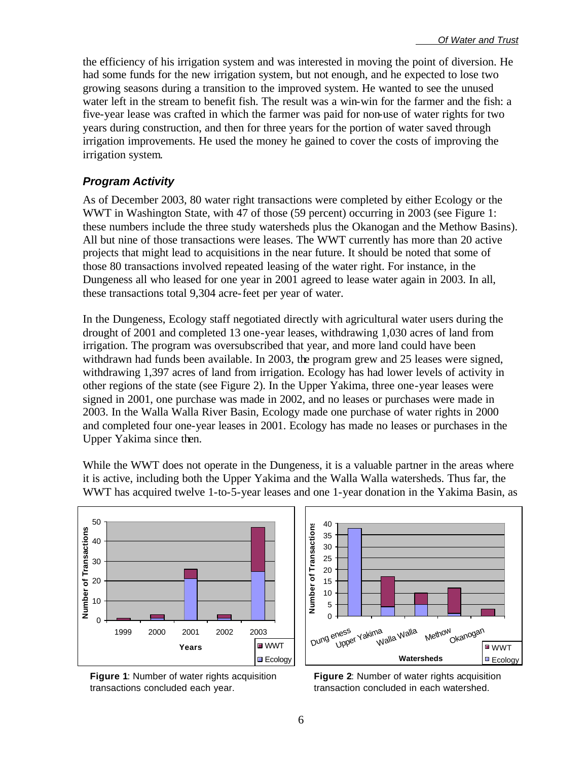the efficiency of his irrigation system and was interested in moving the point of diversion. He had some funds for the new irrigation system, but not enough, and he expected to lose two growing seasons during a transition to the improved system. He wanted to see the unused water left in the stream to benefit fish. The result was a win-win for the farmer and the fish: a five-year lease was crafted in which the farmer was paid for non-use of water rights for two years during construction, and then for three years for the portion of water saved through irrigation improvements. He used the money he gained to cover the costs of improving the irrigation system.

#### *Program Activity*

As of December 2003, 80 water right transactions were completed by either Ecology or the WWT in Washington State, with 47 of those (59 percent) occurring in 2003 (see Figure 1: these numbers include the three study watersheds plus the Okanogan and the Methow Basins). All but nine of those transactions were leases. The WWT currently has more than 20 active projects that might lead to acquisitions in the near future. It should be noted that some of those 80 transactions involved repeated leasing of the water right. For instance, in the Dungeness all who leased for one year in 2001 agreed to lease water again in 2003. In all, these transactions total 9,304 acre-feet per year of water.

In the Dungeness, Ecology staff negotiated directly with agricultural water users during the drought of 2001 and completed 13 one-year leases, withdrawing 1,030 acres of land from irrigation. The program was oversubscribed that year, and more land could have been withdrawn had funds been available. In 2003, the program grew and 25 leases were signed, withdrawing 1,397 acres of land from irrigation. Ecology has had lower levels of activity in other regions of the state (see Figure 2). In the Upper Yakima, three one-year leases were signed in 2001, one purchase was made in 2002, and no leases or purchases were made in 2003. In the Walla Walla River Basin, Ecology made one purchase of water rights in 2000 and completed four one-year leases in 2001. Ecology has made no leases or purchases in the Upper Yakima since then.

While the WWT does not operate in the Dungeness, it is a valuable partner in the areas where it is active, including both the Upper Yakima and the Walla Walla watersheds. Thus far, the WWT has acquired twelve 1-to-5-year leases and one 1-year donation in the Yakima Basin, as



**Figure 1**: Number of water rights acquisition transactions concluded each year.



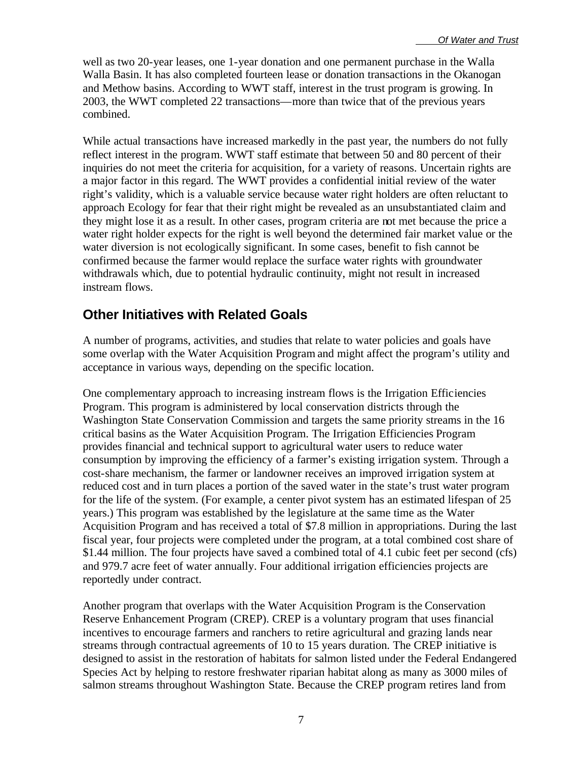well as two 20-year leases, one 1-year donation and one permanent purchase in the Walla Walla Basin. It has also completed fourteen lease or donation transactions in the Okanogan and Methow basins. According to WWT staff, interest in the trust program is growing. In 2003, the WWT completed 22 transactions—more than twice that of the previous years combined.

While actual transactions have increased markedly in the past year, the numbers do not fully reflect interest in the program. WWT staff estimate that between 50 and 80 percent of their inquiries do not meet the criteria for acquisition, for a variety of reasons. Uncertain rights are a major factor in this regard. The WWT provides a confidential initial review of the water right's validity, which is a valuable service because water right holders are often reluctant to approach Ecology for fear that their right might be revealed as an unsubstantiated claim and they might lose it as a result. In other cases, program criteria are not met because the price a water right holder expects for the right is well beyond the determined fair market value or the water diversion is not ecologically significant. In some cases, benefit to fish cannot be confirmed because the farmer would replace the surface water rights with groundwater withdrawals which, due to potential hydraulic continuity, might not result in increased instream flows.

### **Other Initiatives with Related Goals**

A number of programs, activities, and studies that relate to water policies and goals have some overlap with the Water Acquisition Program and might affect the program's utility and acceptance in various ways, depending on the specific location.

One complementary approach to increasing instream flows is the Irrigation Efficiencies Program. This program is administered by local conservation districts through the Washington State Conservation Commission and targets the same priority streams in the 16 critical basins as the Water Acquisition Program. The Irrigation Efficiencies Program provides financial and technical support to agricultural water users to reduce water consumption by improving the efficiency of a farmer's existing irrigation system. Through a cost-share mechanism, the farmer or landowner receives an improved irrigation system at reduced cost and in turn places a portion of the saved water in the state's trust water program for the life of the system. (For example, a center pivot system has an estimated lifespan of 25 years.) This program was established by the legislature at the same time as the Water Acquisition Program and has received a total of \$7.8 million in appropriations. During the last fiscal year, four projects were completed under the program, at a total combined cost share of \$1.44 million. The four projects have saved a combined total of 4.1 cubic feet per second (cfs) and 979.7 acre feet of water annually. Four additional irrigation efficiencies projects are reportedly under contract.

Another program that overlaps with the Water Acquisition Program is the Conservation Reserve Enhancement Program (CREP). CREP is a voluntary program that uses financial incentives to encourage farmers and ranchers to retire agricultural and grazing lands near streams through contractual agreements of 10 to 15 years duration. The CREP initiative is designed to assist in the restoration of habitats for salmon listed under the Federal Endangered Species Act by helping to restore freshwater riparian habitat along as many as 3000 miles of salmon streams throughout Washington State. Because the CREP program retires land from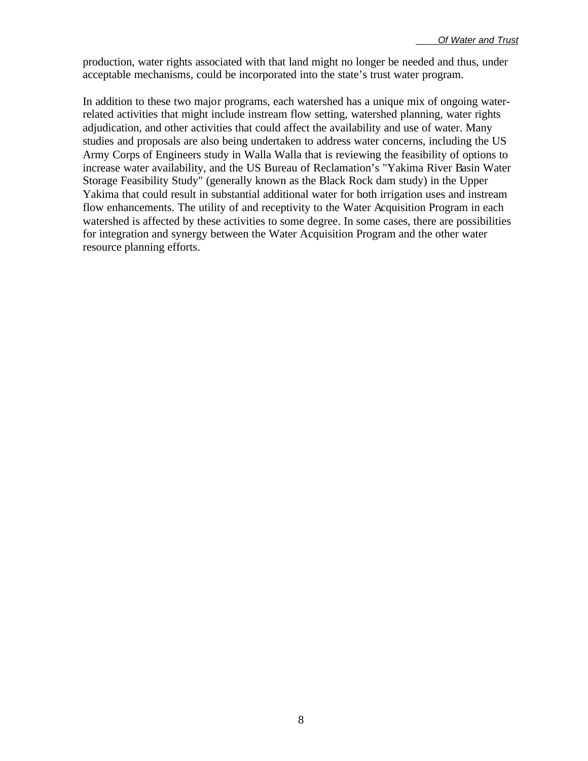production, water rights associated with that land might no longer be needed and thus, under acceptable mechanisms, could be incorporated into the state's trust water program.

In addition to these two major programs, each watershed has a unique mix of ongoing waterrelated activities that might include instream flow setting, watershed planning, water rights adjudication, and other activities that could affect the availability and use of water. Many studies and proposals are also being undertaken to address water concerns, including the US Army Corps of Engineers study in Walla Walla that is reviewing the feasibility of options to increase water availability, and the US Bureau of Reclamation's "Yakima River Basin Water Storage Feasibility Study" (generally known as the Black Rock dam study) in the Upper Yakima that could result in substantial additional water for both irrigation uses and instream flow enhancements. The utility of and receptivity to the Water Acquisition Program in each watershed is affected by these activities to some degree. In some cases, there are possibilities for integration and synergy between the Water Acquisition Program and the other water resource planning efforts.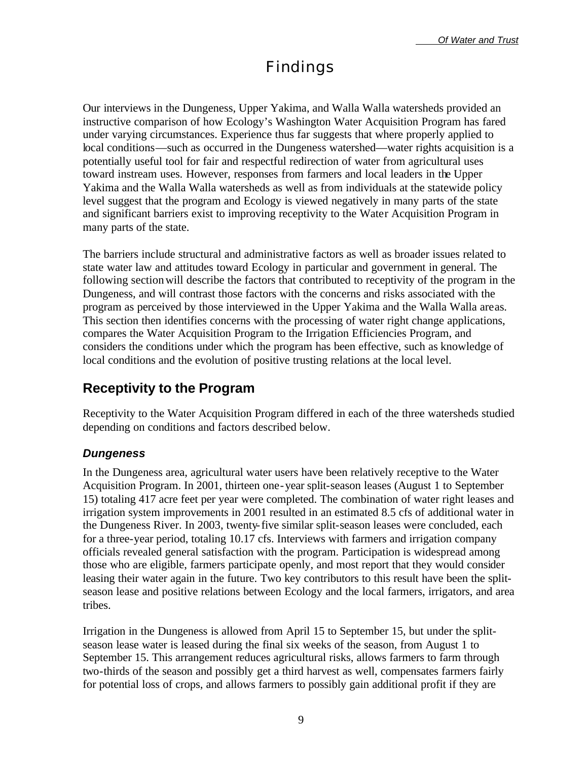## Findings

Our interviews in the Dungeness, Upper Yakima, and Walla Walla watersheds provided an instructive comparison of how Ecology's Washington Water Acquisition Program has fared under varying circumstances. Experience thus far suggests that where properly applied to local conditions—such as occurred in the Dungeness watershed—water rights acquisition is a potentially useful tool for fair and respectful redirection of water from agricultural uses toward instream uses. However, responses from farmers and local leaders in the Upper Yakima and the Walla Walla watersheds as well as from individuals at the statewide policy level suggest that the program and Ecology is viewed negatively in many parts of the state and significant barriers exist to improving receptivity to the Water Acquisition Program in many parts of the state.

The barriers include structural and administrative factors as well as broader issues related to state water law and attitudes toward Ecology in particular and government in general. The following sectionwill describe the factors that contributed to receptivity of the program in the Dungeness, and will contrast those factors with the concerns and risks associated with the program as perceived by those interviewed in the Upper Yakima and the Walla Walla areas. This section then identifies concerns with the processing of water right change applications, compares the Water Acquisition Program to the Irrigation Efficiencies Program, and considers the conditions under which the program has been effective, such as knowledge of local conditions and the evolution of positive trusting relations at the local level.

## **Receptivity to the Program**

Receptivity to the Water Acquisition Program differed in each of the three watersheds studied depending on conditions and factors described below.

#### *Dungeness*

In the Dungeness area, agricultural water users have been relatively receptive to the Water Acquisition Program. In 2001, thirteen one-year split-season leases (August 1 to September 15) totaling 417 acre feet per year were completed. The combination of water right leases and irrigation system improvements in 2001 resulted in an estimated 8.5 cfs of additional water in the Dungeness River. In 2003, twenty-five similar split-season leases were concluded, each for a three-year period, totaling 10.17 cfs. Interviews with farmers and irrigation company officials revealed general satisfaction with the program. Participation is widespread among those who are eligible, farmers participate openly, and most report that they would consider leasing their water again in the future. Two key contributors to this result have been the splitseason lease and positive relations between Ecology and the local farmers, irrigators, and area tribes.

Irrigation in the Dungeness is allowed from April 15 to September 15, but under the splitseason lease water is leased during the final six weeks of the season, from August 1 to September 15. This arrangement reduces agricultural risks, allows farmers to farm through two-thirds of the season and possibly get a third harvest as well, compensates farmers fairly for potential loss of crops, and allows farmers to possibly gain additional profit if they are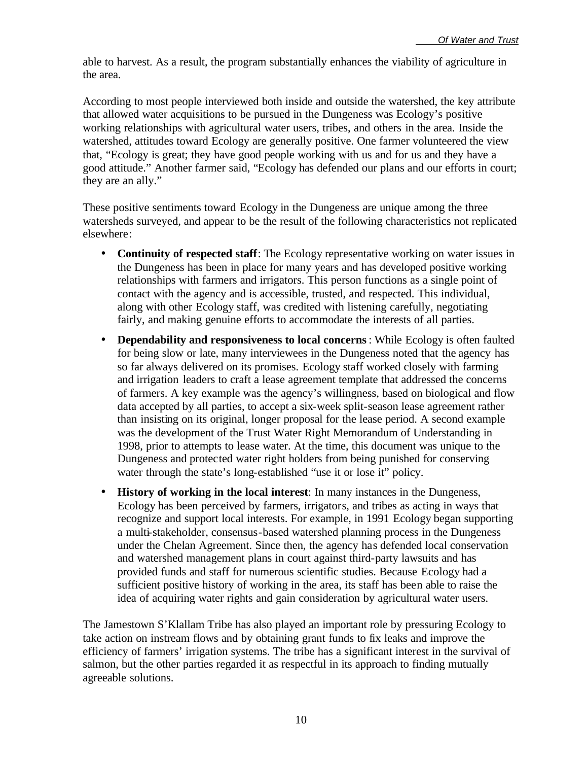able to harvest. As a result, the program substantially enhances the viability of agriculture in the area.

According to most people interviewed both inside and outside the watershed, the key attribute that allowed water acquisitions to be pursued in the Dungeness was Ecology's positive working relationships with agricultural water users, tribes, and others in the area. Inside the watershed, attitudes toward Ecology are generally positive. One farmer volunteered the view that, "Ecology is great; they have good people working with us and for us and they have a good attitude." Another farmer said, "Ecology has defended our plans and our efforts in court; they are an ally."

These positive sentiments toward Ecology in the Dungeness are unique among the three watersheds surveyed, and appear to be the result of the following characteristics not replicated elsewhere:

- **Continuity of respected staff**: The Ecology representative working on water issues in the Dungeness has been in place for many years and has developed positive working relationships with farmers and irrigators. This person functions as a single point of contact with the agency and is accessible, trusted, and respected. This individual, along with other Ecology staff, was credited with listening carefully, negotiating fairly, and making genuine efforts to accommodate the interests of all parties.
- **Dependability and responsiveness to local concerns**: While Ecology is often faulted for being slow or late, many interviewees in the Dungeness noted that the agency has so far always delivered on its promises. Ecology staff worked closely with farming and irrigation leaders to craft a lease agreement template that addressed the concerns of farmers. A key example was the agency's willingness, based on biological and flow data accepted by all parties, to accept a six-week split-season lease agreement rather than insisting on its original, longer proposal for the lease period. A second example was the development of the Trust Water Right Memorandum of Understanding in 1998, prior to attempts to lease water. At the time, this document was unique to the Dungeness and protected water right holders from being punished for conserving water through the state's long-established "use it or lose it" policy.
- **History of working in the local interest**: In many instances in the Dungeness, Ecology has been perceived by farmers, irrigators, and tribes as acting in ways that recognize and support local interests. For example, in 1991 Ecology began supporting a multi-stakeholder, consensus-based watershed planning process in the Dungeness under the Chelan Agreement. Since then, the agency has defended local conservation and watershed management plans in court against third-party lawsuits and has provided funds and staff for numerous scientific studies. Because Ecology had a sufficient positive history of working in the area, its staff has been able to raise the idea of acquiring water rights and gain consideration by agricultural water users.

The Jamestown S'Klallam Tribe has also played an important role by pressuring Ecology to take action on instream flows and by obtaining grant funds to fix leaks and improve the efficiency of farmers' irrigation systems. The tribe has a significant interest in the survival of salmon, but the other parties regarded it as respectful in its approach to finding mutually agreeable solutions.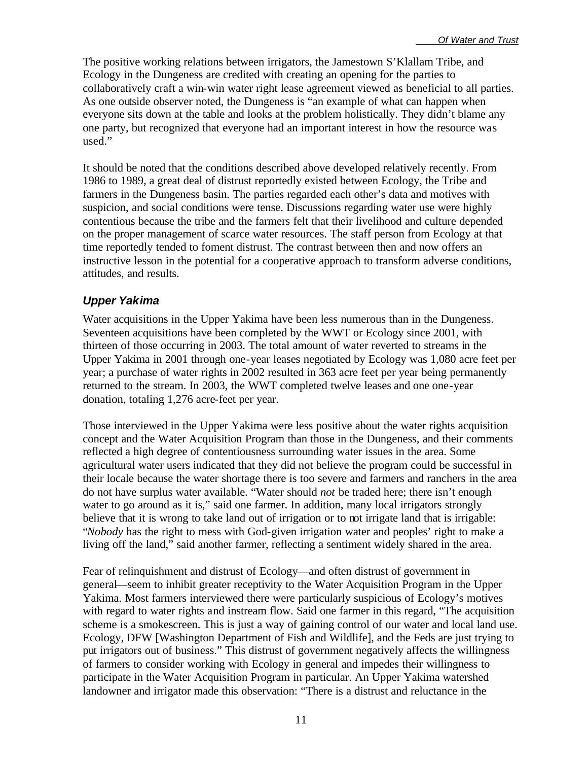The positive working relations between irrigators, the Jamestown S'Klallam Tribe, and Ecology in the Dungeness are credited with creating an opening for the parties to collaboratively craft a win-win water right lease agreement viewed as beneficial to all parties. As one outside observer noted, the Dungeness is "an example of what can happen when everyone sits down at the table and looks at the problem holistically. They didn't blame any one party, but recognized that everyone had an important interest in how the resource was used."

It should be noted that the conditions described above developed relatively recently. From 1986 to 1989, a great deal of distrust reportedly existed between Ecology, the Tribe and farmers in the Dungeness basin. The parties regarded each other's data and motives with suspicion, and social conditions were tense. Discussions regarding water use were highly contentious because the tribe and the farmers felt that their livelihood and culture depended on the proper management of scarce water resources. The staff person from Ecology at that time reportedly tended to foment distrust. The contrast between then and now offers an instructive lesson in the potential for a cooperative approach to transform adverse conditions, attitudes, and results.

#### *Upper Yakima*

Water acquisitions in the Upper Yakima have been less numerous than in the Dungeness. Seventeen acquisitions have been completed by the WWT or Ecology since 2001, with thirteen of those occurring in 2003. The total amount of water reverted to streams in the Upper Yakima in 2001 through one-year leases negotiated by Ecology was 1,080 acre feet per year; a purchase of water rights in 2002 resulted in 363 acre feet per year being permanently returned to the stream. In 2003, the WWT completed twelve leases and one one-year donation, totaling 1,276 acre-feet per year.

Those interviewed in the Upper Yakima were less positive about the water rights acquisition concept and the Water Acquisition Program than those in the Dungeness, and their comments reflected a high degree of contentiousness surrounding water issues in the area. Some agricultural water users indicated that they did not believe the program could be successful in their locale because the water shortage there is too severe and farmers and ranchers in the area do not have surplus water available. "Water should *not* be traded here; there isn't enough water to go around as it is," said one farmer. In addition, many local irrigators strongly believe that it is wrong to take land out of irrigation or to not irrigate land that is irrigable: "*Nobody* has the right to mess with God-given irrigation water and peoples' right to make a living off the land," said another farmer, reflecting a sentiment widely shared in the area.

Fear of relinquishment and distrust of Ecology—and often distrust of government in general—seem to inhibit greater receptivity to the Water Acquisition Program in the Upper Yakima. Most farmers interviewed there were particularly suspicious of Ecology's motives with regard to water rights and instream flow. Said one farmer in this regard, "The acquisition scheme is a smokescreen. This is just a way of gaining control of our water and local land use. Ecology, DFW [Washington Department of Fish and Wildlife], and the Feds are just trying to put irrigators out of business." This distrust of government negatively affects the willingness of farmers to consider working with Ecology in general and impedes their willingness to participate in the Water Acquisition Program in particular. An Upper Yakima watershed landowner and irrigator made this observation: "There is a distrust and reluctance in the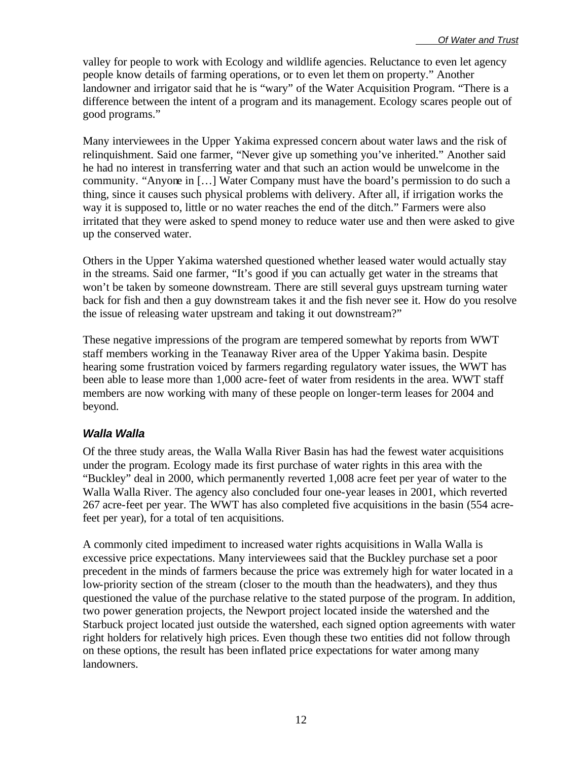valley for people to work with Ecology and wildlife agencies. Reluctance to even let agency people know details of farming operations, or to even let them on property." Another landowner and irrigator said that he is "wary" of the Water Acquisition Program. "There is a difference between the intent of a program and its management. Ecology scares people out of good programs."

Many interviewees in the Upper Yakima expressed concern about water laws and the risk of relinquishment. Said one farmer, "Never give up something you've inherited." Another said he had no interest in transferring water and that such an action would be unwelcome in the community. "Anyone in […] Water Company must have the board's permission to do such a thing, since it causes such physical problems with delivery. After all, if irrigation works the way it is supposed to, little or no water reaches the end of the ditch." Farmers were also irritated that they were asked to spend money to reduce water use and then were asked to give up the conserved water.

Others in the Upper Yakima watershed questioned whether leased water would actually stay in the streams. Said one farmer, "It's good if you can actually get water in the streams that won't be taken by someone downstream. There are still several guys upstream turning water back for fish and then a guy downstream takes it and the fish never see it. How do you resolve the issue of releasing water upstream and taking it out downstream?"

These negative impressions of the program are tempered somewhat by reports from WWT staff members working in the Teanaway River area of the Upper Yakima basin. Despite hearing some frustration voiced by farmers regarding regulatory water issues, the WWT has been able to lease more than 1,000 acre-feet of water from residents in the area. WWT staff members are now working with many of these people on longer-term leases for 2004 and beyond.

#### *Walla Walla*

Of the three study areas, the Walla Walla River Basin has had the fewest water acquisitions under the program. Ecology made its first purchase of water rights in this area with the "Buckley" deal in 2000, which permanently reverted 1,008 acre feet per year of water to the Walla Walla River. The agency also concluded four one-year leases in 2001, which reverted 267 acre-feet per year. The WWT has also completed five acquisitions in the basin (554 acrefeet per year), for a total of ten acquisitions.

A commonly cited impediment to increased water rights acquisitions in Walla Walla is excessive price expectations. Many interviewees said that the Buckley purchase set a poor precedent in the minds of farmers because the price was extremely high for water located in a low-priority section of the stream (closer to the mouth than the headwaters), and they thus questioned the value of the purchase relative to the stated purpose of the program. In addition, two power generation projects, the Newport project located inside the watershed and the Starbuck project located just outside the watershed, each signed option agreements with water right holders for relatively high prices. Even though these two entities did not follow through on these options, the result has been inflated price expectations for water among many landowners.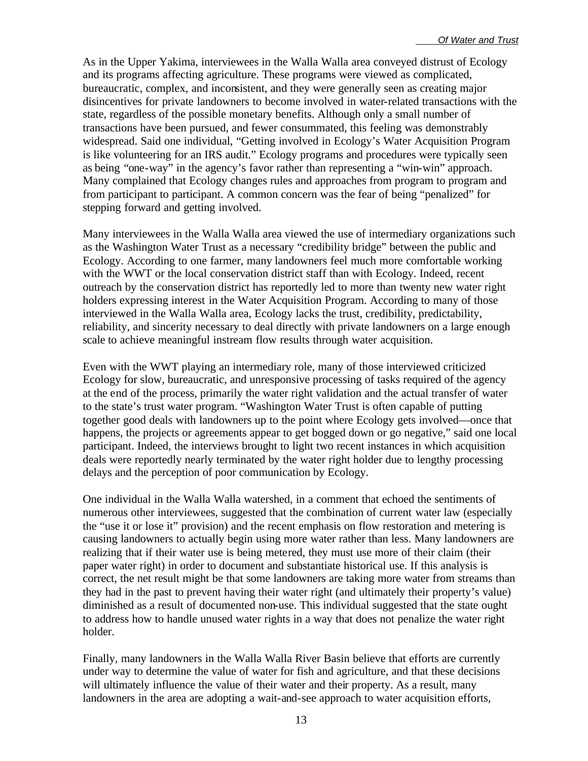As in the Upper Yakima, interviewees in the Walla Walla area conveyed distrust of Ecology and its programs affecting agriculture. These programs were viewed as complicated, bureaucratic, complex, and inconsistent, and they were generally seen as creating major disincentives for private landowners to become involved in water-related transactions with the state, regardless of the possible monetary benefits. Although only a small number of transactions have been pursued, and fewer consummated, this feeling was demonstrably widespread. Said one individual, "Getting involved in Ecology's Water Acquisition Program is like volunteering for an IRS audit." Ecology programs and procedures were typically seen as being "one-way" in the agency's favor rather than representing a "win-win" approach. Many complained that Ecology changes rules and approaches from program to program and from participant to participant. A common concern was the fear of being "penalized" for stepping forward and getting involved.

Many interviewees in the Walla Walla area viewed the use of intermediary organizations such as the Washington Water Trust as a necessary "credibility bridge" between the public and Ecology. According to one farmer, many landowners feel much more comfortable working with the WWT or the local conservation district staff than with Ecology. Indeed, recent outreach by the conservation district has reportedly led to more than twenty new water right holders expressing interest in the Water Acquisition Program. According to many of those interviewed in the Walla Walla area, Ecology lacks the trust, credibility, predictability, reliability, and sincerity necessary to deal directly with private landowners on a large enough scale to achieve meaningful instream flow results through water acquisition.

Even with the WWT playing an intermediary role, many of those interviewed criticized Ecology for slow, bureaucratic, and unresponsive processing of tasks required of the agency at the end of the process, primarily the water right validation and the actual transfer of water to the state's trust water program. "Washington Water Trust is often capable of putting together good deals with landowners up to the point where Ecology gets involved—once that happens, the projects or agreements appear to get bogged down or go negative," said one local participant. Indeed, the interviews brought to light two recent instances in which acquisition deals were reportedly nearly terminated by the water right holder due to lengthy processing delays and the perception of poor communication by Ecology.

One individual in the Walla Walla watershed, in a comment that echoed the sentiments of numerous other interviewees, suggested that the combination of current water law (especially the "use it or lose it" provision) and the recent emphasis on flow restoration and metering is causing landowners to actually begin using more water rather than less. Many landowners are realizing that if their water use is being metered, they must use more of their claim (their paper water right) in order to document and substantiate historical use. If this analysis is correct, the net result might be that some landowners are taking more water from streams than they had in the past to prevent having their water right (and ultimately their property's value) diminished as a result of documented non-use. This individual suggested that the state ought to address how to handle unused water rights in a way that does not penalize the water right holder.

Finally, many landowners in the Walla Walla River Basin believe that efforts are currently under way to determine the value of water for fish and agriculture, and that these decisions will ultimately influence the value of their water and their property. As a result, many landowners in the area are adopting a wait-and-see approach to water acquisition efforts,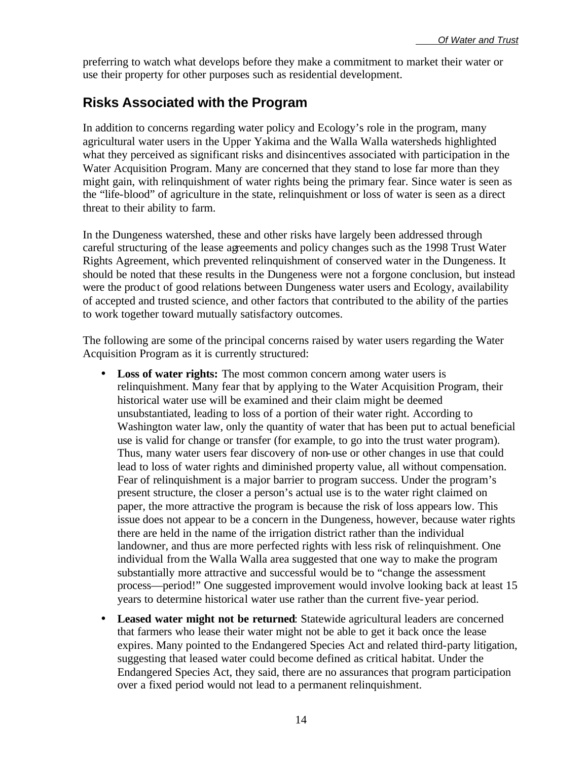preferring to watch what develops before they make a commitment to market their water or use their property for other purposes such as residential development.

## **Risks Associated with the Program**

In addition to concerns regarding water policy and Ecology's role in the program, many agricultural water users in the Upper Yakima and the Walla Walla watersheds highlighted what they perceived as significant risks and disincentives associated with participation in the Water Acquisition Program. Many are concerned that they stand to lose far more than they might gain, with relinquishment of water rights being the primary fear. Since water is seen as the "life-blood" of agriculture in the state, relinquishment or loss of water is seen as a direct threat to their ability to farm.

In the Dungeness watershed, these and other risks have largely been addressed through careful structuring of the lease agreements and policy changes such as the 1998 Trust Water Rights Agreement, which prevented relinquishment of conserved water in the Dungeness. It should be noted that these results in the Dungeness were not a forgone conclusion, but instead were the product of good relations between Dungeness water users and Ecology, availability of accepted and trusted science, and other factors that contributed to the ability of the parties to work together toward mutually satisfactory outcomes.

The following are some of the principal concerns raised by water users regarding the Water Acquisition Program as it is currently structured:

- **Loss of water rights:** The most common concern among water users is relinquishment. Many fear that by applying to the Water Acquisition Program, their historical water use will be examined and their claim might be deemed unsubstantiated, leading to loss of a portion of their water right. According to Washington water law, only the quantity of water that has been put to actual beneficial use is valid for change or transfer (for example, to go into the trust water program). Thus, many water users fear discovery of non-use or other changes in use that could lead to loss of water rights and diminished property value, all without compensation. Fear of relinquishment is a major barrier to program success. Under the program's present structure, the closer a person's actual use is to the water right claimed on paper, the more attractive the program is because the risk of loss appears low. This issue does not appear to be a concern in the Dungeness, however, because water rights there are held in the name of the irrigation district rather than the individual landowner, and thus are more perfected rights with less risk of relinquishment. One individual from the Walla Walla area suggested that one way to make the program substantially more attractive and successful would be to "change the assessment process—period!" One suggested improvement would involve looking back at least 15 years to determine historical water use rather than the current five-year period.
- **Leased water might not be returned:** Statewide agricultural leaders are concerned that farmers who lease their water might not be able to get it back once the lease expires. Many pointed to the Endangered Species Act and related third-party litigation, suggesting that leased water could become defined as critical habitat. Under the Endangered Species Act, they said, there are no assurances that program participation over a fixed period would not lead to a permanent relinquishment.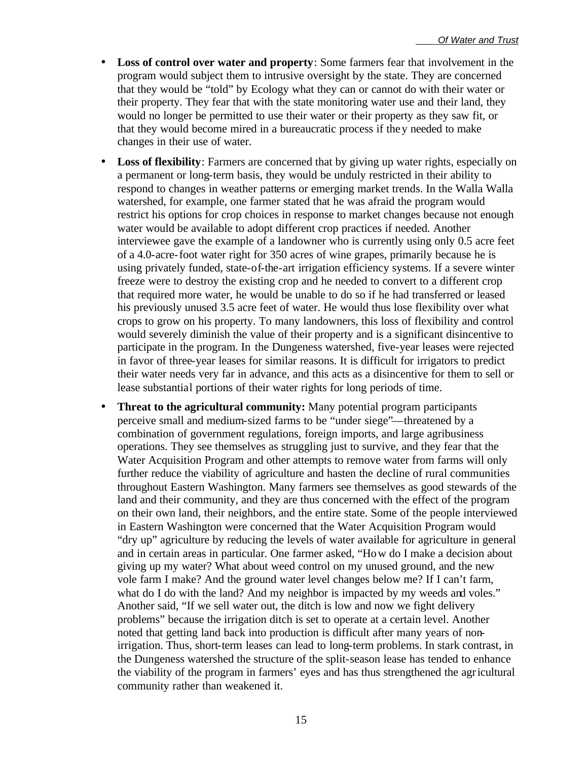- **Loss of control over water and property**: Some farmers fear that involvement in the program would subject them to intrusive oversight by the state. They are concerned that they would be "told" by Ecology what they can or cannot do with their water or their property. They fear that with the state monitoring water use and their land, they would no longer be permitted to use their water or their property as they saw fit, or that they would become mired in a bureaucratic process if they needed to make changes in their use of water.
- **Loss of flexibility**: Farmers are concerned that by giving up water rights, especially on a permanent or long-term basis, they would be unduly restricted in their ability to respond to changes in weather patterns or emerging market trends. In the Walla Walla watershed, for example, one farmer stated that he was afraid the program would restrict his options for crop choices in response to market changes because not enough water would be available to adopt different crop practices if needed. Another interviewee gave the example of a landowner who is currently using only 0.5 acre feet of a 4.0-acre-foot water right for 350 acres of wine grapes, primarily because he is using privately funded, state-of-the-art irrigation efficiency systems. If a severe winter freeze were to destroy the existing crop and he needed to convert to a different crop that required more water, he would be unable to do so if he had transferred or leased his previously unused 3.5 acre feet of water. He would thus lose flexibility over what crops to grow on his property. To many landowners, this loss of flexibility and control would severely diminish the value of their property and is a significant disincentive to participate in the program. In the Dungeness watershed, five-year leases were rejected in favor of three-year leases for similar reasons. It is difficult for irrigators to predict their water needs very far in advance, and this acts as a disincentive for them to sell or lease substantial portions of their water rights for long periods of time.
- **Threat to the agricultural community:** Many potential program participants perceive small and medium-sized farms to be "under siege"—threatened by a combination of government regulations, foreign imports, and large agribusiness operations. They see themselves as struggling just to survive, and they fear that the Water Acquisition Program and other attempts to remove water from farms will only further reduce the viability of agriculture and hasten the decline of rural communities throughout Eastern Washington. Many farmers see themselves as good stewards of the land and their community, and they are thus concerned with the effect of the program on their own land, their neighbors, and the entire state. Some of the people interviewed in Eastern Washington were concerned that the Water Acquisition Program would "dry up" agriculture by reducing the levels of water available for agriculture in general and in certain areas in particular. One farmer asked, "How do I make a decision about giving up my water? What about weed control on my unused ground, and the new vole farm I make? And the ground water level changes below me? If I can't farm, what do I do with the land? And my neighbor is impacted by my weeds and voles." Another said, "If we sell water out, the ditch is low and now we fight delivery problems" because the irrigation ditch is set to operate at a certain level. Another noted that getting land back into production is difficult after many years of nonirrigation. Thus, short-term leases can lead to long-term problems. In stark contrast, in the Dungeness watershed the structure of the split-season lease has tended to enhance the viability of the program in farmers' eyes and has thus strengthened the agricultural community rather than weakened it.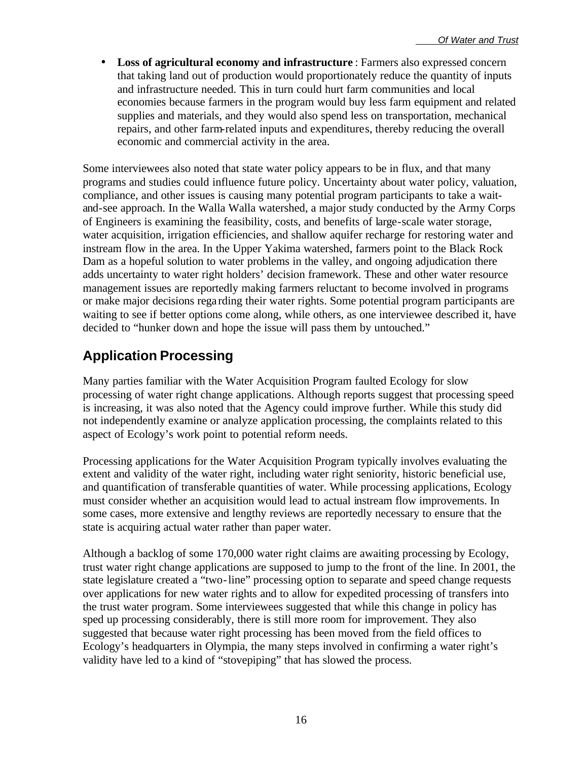• **Loss of agricultural economy and infrastructure** : Farmers also expressed concern that taking land out of production would proportionately reduce the quantity of inputs and infrastructure needed. This in turn could hurt farm communities and local economies because farmers in the program would buy less farm equipment and related supplies and materials, and they would also spend less on transportation, mechanical repairs, and other farm-related inputs and expenditures, thereby reducing the overall economic and commercial activity in the area.

Some interviewees also noted that state water policy appears to be in flux, and that many programs and studies could influence future policy. Uncertainty about water policy, valuation, compliance, and other issues is causing many potential program participants to take a waitand-see approach. In the Walla Walla watershed, a major study conducted by the Army Corps of Engineers is examining the feasibility, costs, and benefits of large-scale water storage, water acquisition, irrigation efficiencies, and shallow aquifer recharge for restoring water and instream flow in the area. In the Upper Yakima watershed, farmers point to the Black Rock Dam as a hopeful solution to water problems in the valley, and ongoing adjudication there adds uncertainty to water right holders' decision framework. These and other water resource management issues are reportedly making farmers reluctant to become involved in programs or make major decisions rega rding their water rights. Some potential program participants are waiting to see if better options come along, while others, as one interviewee described it, have decided to "hunker down and hope the issue will pass them by untouched."

## **Application Processing**

Many parties familiar with the Water Acquisition Program faulted Ecology for slow processing of water right change applications. Although reports suggest that processing speed is increasing, it was also noted that the Agency could improve further. While this study did not independently examine or analyze application processing, the complaints related to this aspect of Ecology's work point to potential reform needs.

Processing applications for the Water Acquisition Program typically involves evaluating the extent and validity of the water right, including water right seniority, historic beneficial use, and quantification of transferable quantities of water. While processing applications, Ecology must consider whether an acquisition would lead to actual instream flow improvements. In some cases, more extensive and lengthy reviews are reportedly necessary to ensure that the state is acquiring actual water rather than paper water.

Although a backlog of some 170,000 water right claims are awaiting processing by Ecology, trust water right change applications are supposed to jump to the front of the line. In 2001, the state legislature created a "two-line" processing option to separate and speed change requests over applications for new water rights and to allow for expedited processing of transfers into the trust water program. Some interviewees suggested that while this change in policy has sped up processing considerably, there is still more room for improvement. They also suggested that because water right processing has been moved from the field offices to Ecology's headquarters in Olympia, the many steps involved in confirming a water right's validity have led to a kind of "stovepiping" that has slowed the process.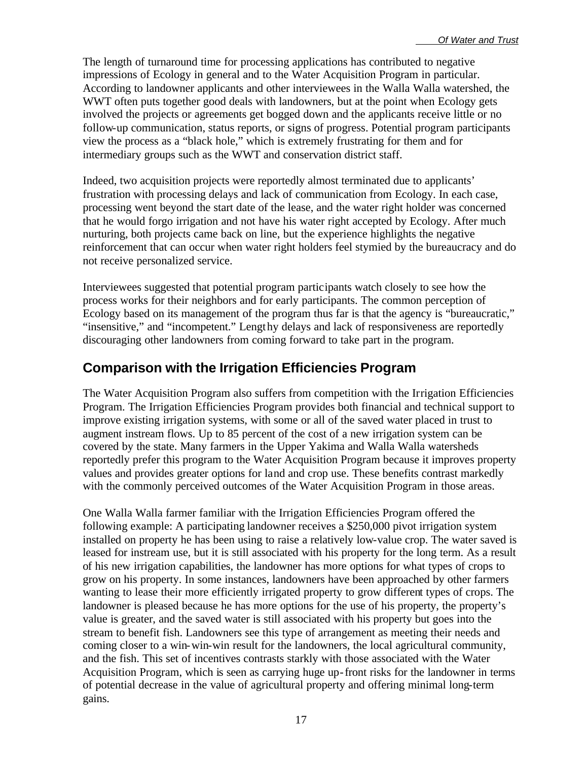The length of turnaround time for processing applications has contributed to negative impressions of Ecology in general and to the Water Acquisition Program in particular. According to landowner applicants and other interviewees in the Walla Walla watershed, the WWT often puts together good deals with landowners, but at the point when Ecology gets involved the projects or agreements get bogged down and the applicants receive little or no follow-up communication, status reports, or signs of progress. Potential program participants view the process as a "black hole," which is extremely frustrating for them and for intermediary groups such as the WWT and conservation district staff.

Indeed, two acquisition projects were reportedly almost terminated due to applicants' frustration with processing delays and lack of communication from Ecology. In each case, processing went beyond the start date of the lease, and the water right holder was concerned that he would forgo irrigation and not have his water right accepted by Ecology. After much nurturing, both projects came back on line, but the experience highlights the negative reinforcement that can occur when water right holders feel stymied by the bureaucracy and do not receive personalized service.

Interviewees suggested that potential program participants watch closely to see how the process works for their neighbors and for early participants. The common perception of Ecology based on its management of the program thus far is that the agency is "bureaucratic," "insensitive," and "incompetent." Lengthy delays and lack of responsiveness are reportedly discouraging other landowners from coming forward to take part in the program.

### **Comparison with the Irrigation Efficiencies Program**

The Water Acquisition Program also suffers from competition with the Irrigation Efficiencies Program. The Irrigation Efficiencies Program provides both financial and technical support to improve existing irrigation systems, with some or all of the saved water placed in trust to augment instream flows. Up to 85 percent of the cost of a new irrigation system can be covered by the state. Many farmers in the Upper Yakima and Walla Walla watersheds reportedly prefer this program to the Water Acquisition Program because it improves property values and provides greater options for land and crop use. These benefits contrast markedly with the commonly perceived outcomes of the Water Acquisition Program in those areas.

One Walla Walla farmer familiar with the Irrigation Efficiencies Program offered the following example: A participating landowner receives a \$250,000 pivot irrigation system installed on property he has been using to raise a relatively low-value crop. The water saved is leased for instream use, but it is still associated with his property for the long term. As a result of his new irrigation capabilities, the landowner has more options for what types of crops to grow on his property. In some instances, landowners have been approached by other farmers wanting to lease their more efficiently irrigated property to grow different types of crops. The landowner is pleased because he has more options for the use of his property, the property's value is greater, and the saved water is still associated with his property but goes into the stream to benefit fish. Landowners see this type of arrangement as meeting their needs and coming closer to a win-win-win result for the landowners, the local agricultural community, and the fish. This set of incentives contrasts starkly with those associated with the Water Acquisition Program, which is seen as carrying huge up-front risks for the landowner in terms of potential decrease in the value of agricultural property and offering minimal long-term gains.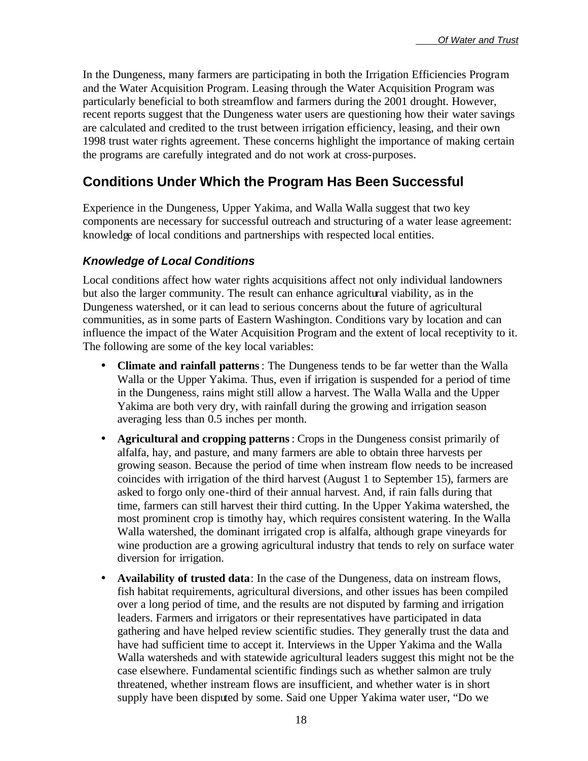In the Dungeness, many farmers are participating in both the Irrigation Efficiencies Program and the Water Acquisition Program. Leasing through the Water Acquisition Program was particularly beneficial to both streamflow and farmers during the 2001 drought. However, recent reports suggest that the Dungeness water users are questioning how their water savings are calculated and credited to the trust between irrigation efficiency, leasing, and their own 1998 trust water rights agreement. These concerns highlight the importance of making certain the programs are carefully integrated and do not work at cross-purposes.

## **Conditions Under Which the Program Has Been Successful**

Experience in the Dungeness, Upper Yakima, and Walla Walla suggest that two key components are necessary for successful outreach and structuring of a water lease agreement: knowledge of local conditions and partnerships with respected local entities.

#### *Knowledge of Local Conditions*

Local conditions affect how water rights acquisitions affect not only individual landowners but also the larger community. The result can enhance agricultural viability, as in the Dungeness watershed, or it can lead to serious concerns about the future of agricultural communities, as in some parts of Eastern Washington. Conditions vary by location and can influence the impact of the Water Acquisition Program and the extent of local receptivity to it. The following are some of the key local variables:

- **Climate and rainfall patterns**: The Dungeness tends to be far wetter than the Walla Walla or the Upper Yakima. Thus, even if irrigation is suspended for a period of time in the Dungeness, rains might still allow a harvest. The Walla Walla and the Upper Yakima are both very dry, with rainfall during the growing and irrigation season averaging less than 0.5 inches per month.
- **Agricultural and cropping patterns**: Crops in the Dungeness consist primarily of alfalfa, hay, and pasture, and many farmers are able to obtain three harvests per growing season. Because the period of time when instream flow needs to be increased coincides with irrigation of the third harvest (August 1 to September 15), farmers are asked to forgo only one-third of their annual harvest. And, if rain falls during that time, farmers can still harvest their third cutting. In the Upper Yakima watershed, the most prominent crop is timothy hay, which requires consistent watering. In the Walla Walla watershed, the dominant irrigated crop is alfalfa, although grape vineyards for wine production are a growing agricultural industry that tends to rely on surface water diversion for irrigation.
- **Availability of trusted data**: In the case of the Dungeness, data on instream flows, fish habitat requirements, agricultural diversions, and other issues has been compiled over a long period of time, and the results are not disputed by farming and irrigation leaders. Farmers and irrigators or their representatives have participated in data gathering and have helped review scientific studies. They generally trust the data and have had sufficient time to accept it. Interviews in the Upper Yakima and the Walla Walla watersheds and with statewide agricultural leaders suggest this might not be the case elsewhere. Fundamental scientific findings such as whether salmon are truly threatened, whether instream flows are insufficient, and whether water is in short supply have been disputed by some. Said one Upper Yakima water user, "Do we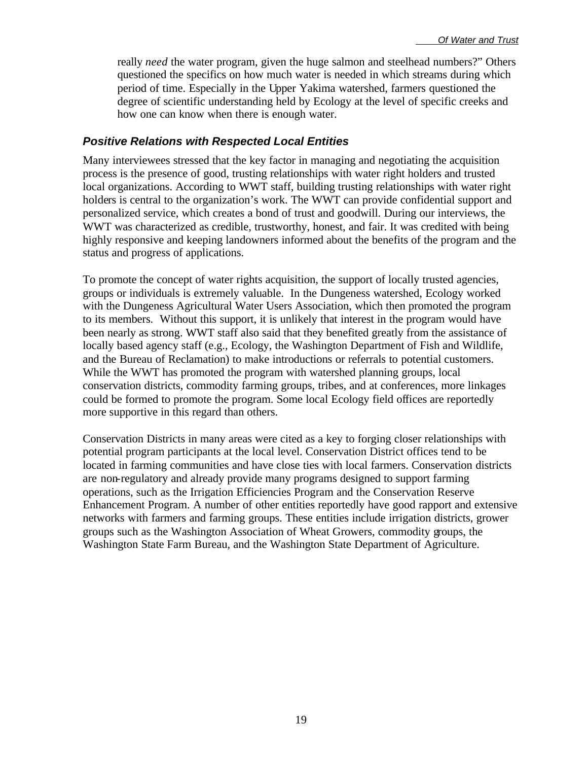really *need* the water program, given the huge salmon and steelhead numbers?" Others questioned the specifics on how much water is needed in which streams during which period of time. Especially in the Upper Yakima watershed, farmers questioned the degree of scientific understanding held by Ecology at the level of specific creeks and how one can know when there is enough water.

#### *Positive Relations with Respected Local Entities*

Many interviewees stressed that the key factor in managing and negotiating the acquisition process is the presence of good, trusting relationships with water right holders and trusted local organizations. According to WWT staff, building trusting relationships with water right holders is central to the organization's work. The WWT can provide confidential support and personalized service, which creates a bond of trust and goodwill. During our interviews, the WWT was characterized as credible, trustworthy, honest, and fair. It was credited with being highly responsive and keeping landowners informed about the benefits of the program and the status and progress of applications.

To promote the concept of water rights acquisition, the support of locally trusted agencies, groups or individuals is extremely valuable. In the Dungeness watershed, Ecology worked with the Dungeness Agricultural Water Users Association, which then promoted the program to its members. Without this support, it is unlikely that interest in the program would have been nearly as strong. WWT staff also said that they benefited greatly from the assistance of locally based agency staff (e.g., Ecology, the Washington Department of Fish and Wildlife, and the Bureau of Reclamation) to make introductions or referrals to potential customers. While the WWT has promoted the program with watershed planning groups, local conservation districts, commodity farming groups, tribes, and at conferences, more linkages could be formed to promote the program. Some local Ecology field offices are reportedly more supportive in this regard than others.

Conservation Districts in many areas were cited as a key to forging closer relationships with potential program participants at the local level. Conservation District offices tend to be located in farming communities and have close ties with local farmers. Conservation districts are non-regulatory and already provide many programs designed to support farming operations, such as the Irrigation Efficiencies Program and the Conservation Reserve Enhancement Program. A number of other entities reportedly have good rapport and extensive networks with farmers and farming groups. These entities include irrigation districts, grower groups such as the Washington Association of Wheat Growers, commodity groups, the Washington State Farm Bureau, and the Washington State Department of Agriculture.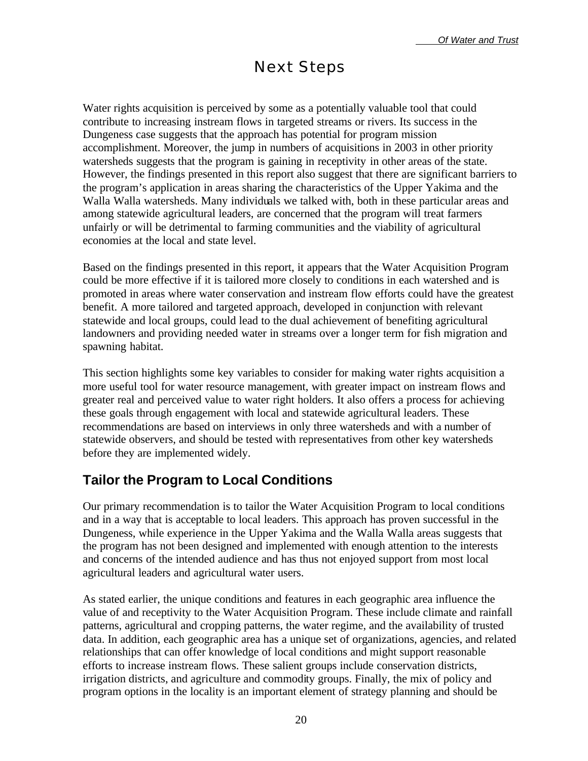## Next Steps

Water rights acquisition is perceived by some as a potentially valuable tool that could contribute to increasing instream flows in targeted streams or rivers. Its success in the Dungeness case suggests that the approach has potential for program mission accomplishment. Moreover, the jump in numbers of acquisitions in 2003 in other priority watersheds suggests that the program is gaining in receptivity in other areas of the state. However, the findings presented in this report also suggest that there are significant barriers to the program's application in areas sharing the characteristics of the Upper Yakima and the Walla Walla watersheds. Many individuals we talked with, both in these particular areas and among statewide agricultural leaders, are concerned that the program will treat farmers unfairly or will be detrimental to farming communities and the viability of agricultural economies at the local and state level.

Based on the findings presented in this report, it appears that the Water Acquisition Program could be more effective if it is tailored more closely to conditions in each watershed and is promoted in areas where water conservation and instream flow efforts could have the greatest benefit. A more tailored and targeted approach, developed in conjunction with relevant statewide and local groups, could lead to the dual achievement of benefiting agricultural landowners and providing needed water in streams over a longer term for fish migration and spawning habitat.

This section highlights some key variables to consider for making water rights acquisition a more useful tool for water resource management, with greater impact on instream flows and greater real and perceived value to water right holders. It also offers a process for achieving these goals through engagement with local and statewide agricultural leaders. These recommendations are based on interviews in only three watersheds and with a number of statewide observers, and should be tested with representatives from other key watersheds before they are implemented widely.

## **Tailor the Program to Local Conditions**

Our primary recommendation is to tailor the Water Acquisition Program to local conditions and in a way that is acceptable to local leaders. This approach has proven successful in the Dungeness, while experience in the Upper Yakima and the Walla Walla areas suggests that the program has not been designed and implemented with enough attention to the interests and concerns of the intended audience and has thus not enjoyed support from most local agricultural leaders and agricultural water users.

As stated earlier, the unique conditions and features in each geographic area influence the value of and receptivity to the Water Acquisition Program. These include climate and rainfall patterns, agricultural and cropping patterns, the water regime, and the availability of trusted data. In addition, each geographic area has a unique set of organizations, agencies, and related relationships that can offer knowledge of local conditions and might support reasonable efforts to increase instream flows. These salient groups include conservation districts, irrigation districts, and agriculture and commodity groups. Finally, the mix of policy and program options in the locality is an important element of strategy planning and should be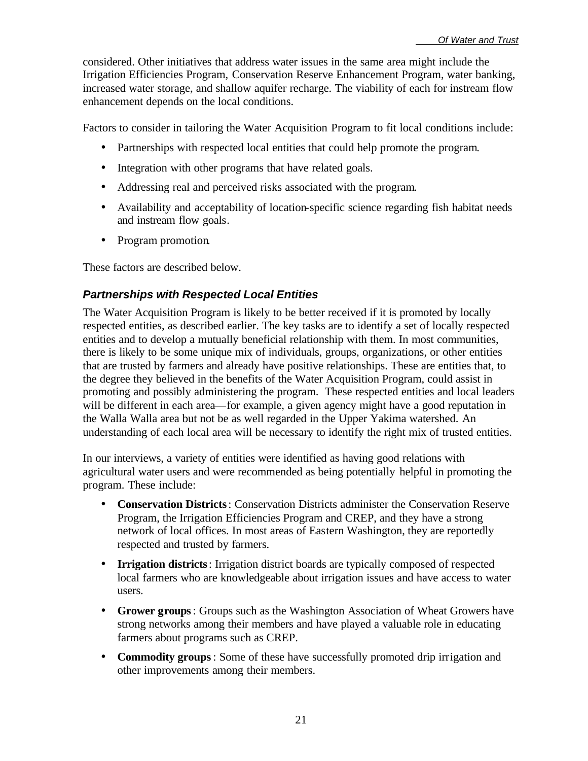considered. Other initiatives that address water issues in the same area might include the Irrigation Efficiencies Program, Conservation Reserve Enhancement Program, water banking, increased water storage, and shallow aquifer recharge. The viability of each for instream flow enhancement depends on the local conditions.

Factors to consider in tailoring the Water Acquisition Program to fit local conditions include:

- Partnerships with respected local entities that could help promote the program.
- Integration with other programs that have related goals.
- Addressing real and perceived risks associated with the program.
- Availability and acceptability of location-specific science regarding fish habitat needs and instream flow goals.
- Program promotion.

These factors are described below.

#### *Partnerships with Respected Local Entities*

The Water Acquisition Program is likely to be better received if it is promoted by locally respected entities, as described earlier. The key tasks are to identify a set of locally respected entities and to develop a mutually beneficial relationship with them. In most communities, there is likely to be some unique mix of individuals, groups, organizations, or other entities that are trusted by farmers and already have positive relationships. These are entities that, to the degree they believed in the benefits of the Water Acquisition Program, could assist in promoting and possibly administering the program. These respected entities and local leaders will be different in each area—for example, a given agency might have a good reputation in the Walla Walla area but not be as well regarded in the Upper Yakima watershed. An understanding of each local area will be necessary to identify the right mix of trusted entities.

In our interviews, a variety of entities were identified as having good relations with agricultural water users and were recommended as being potentially helpful in promoting the program. These include:

- **Conservation Districts**: Conservation Districts administer the Conservation Reserve Program, the Irrigation Efficiencies Program and CREP, and they have a strong network of local offices. In most areas of Eastern Washington, they are reportedly respected and trusted by farmers.
- **Irrigation districts**: Irrigation district boards are typically composed of respected local farmers who are knowledgeable about irrigation issues and have access to water users.
- **Grower groups**: Groups such as the Washington Association of Wheat Growers have strong networks among their members and have played a valuable role in educating farmers about programs such as CREP.
- **Commodity groups**: Some of these have successfully promoted drip irrigation and other improvements among their members.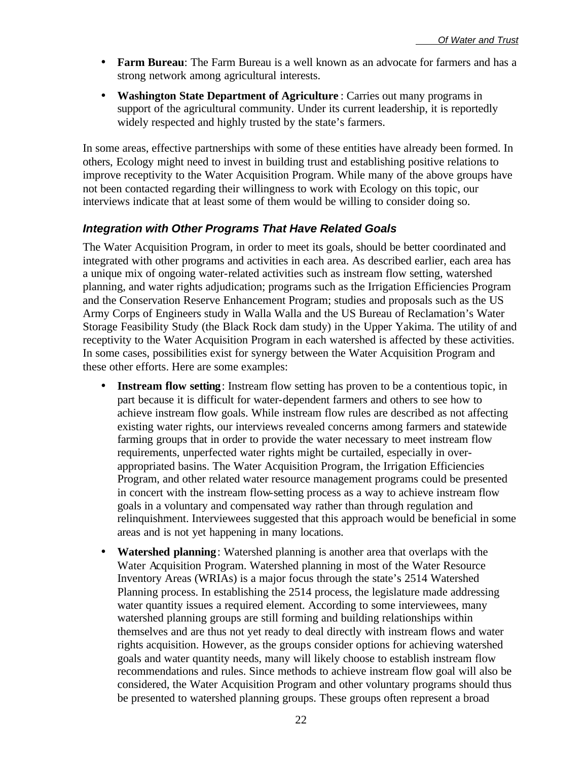- **Farm Bureau**: The Farm Bureau is a well known as an advocate for farmers and has a strong network among agricultural interests.
- **Washington State Department of Agriculture** : Carries out many programs in support of the agricultural community. Under its current leadership, it is reportedly widely respected and highly trusted by the state's farmers.

In some areas, effective partnerships with some of these entities have already been formed. In others, Ecology might need to invest in building trust and establishing positive relations to improve receptivity to the Water Acquisition Program. While many of the above groups have not been contacted regarding their willingness to work with Ecology on this topic, our interviews indicate that at least some of them would be willing to consider doing so.

#### *Integration with Other Programs That Have Related Goals*

The Water Acquisition Program, in order to meet its goals, should be better coordinated and integrated with other programs and activities in each area. As described earlier, each area has a unique mix of ongoing water-related activities such as instream flow setting, watershed planning, and water rights adjudication; programs such as the Irrigation Efficiencies Program and the Conservation Reserve Enhancement Program; studies and proposals such as the US Army Corps of Engineers study in Walla Walla and the US Bureau of Reclamation's Water Storage Feasibility Study (the Black Rock dam study) in the Upper Yakima. The utility of and receptivity to the Water Acquisition Program in each watershed is affected by these activities. In some cases, possibilities exist for synergy between the Water Acquisition Program and these other efforts. Here are some examples:

- **Instream flow setting**: Instream flow setting has proven to be a contentious topic, in part because it is difficult for water-dependent farmers and others to see how to achieve instream flow goals. While instream flow rules are described as not affecting existing water rights, our interviews revealed concerns among farmers and statewide farming groups that in order to provide the water necessary to meet instream flow requirements, unperfected water rights might be curtailed, especially in overappropriated basins. The Water Acquisition Program, the Irrigation Efficiencies Program, and other related water resource management programs could be presented in concert with the instream flow-setting process as a way to achieve instream flow goals in a voluntary and compensated way rather than through regulation and relinquishment. Interviewees suggested that this approach would be beneficial in some areas and is not yet happening in many locations.
- **Watershed planning**: Watershed planning is another area that overlaps with the Water Acquisition Program. Watershed planning in most of the Water Resource Inventory Areas (WRIAs) is a major focus through the state's 2514 Watershed Planning process. In establishing the 2514 process, the legislature made addressing water quantity issues a required element. According to some interviewees, many watershed planning groups are still forming and building relationships within themselves and are thus not yet ready to deal directly with instream flows and water rights acquisition. However, as the groups consider options for achieving watershed goals and water quantity needs, many will likely choose to establish instream flow recommendations and rules. Since methods to achieve instream flow goal will also be considered, the Water Acquisition Program and other voluntary programs should thus be presented to watershed planning groups. These groups often represent a broad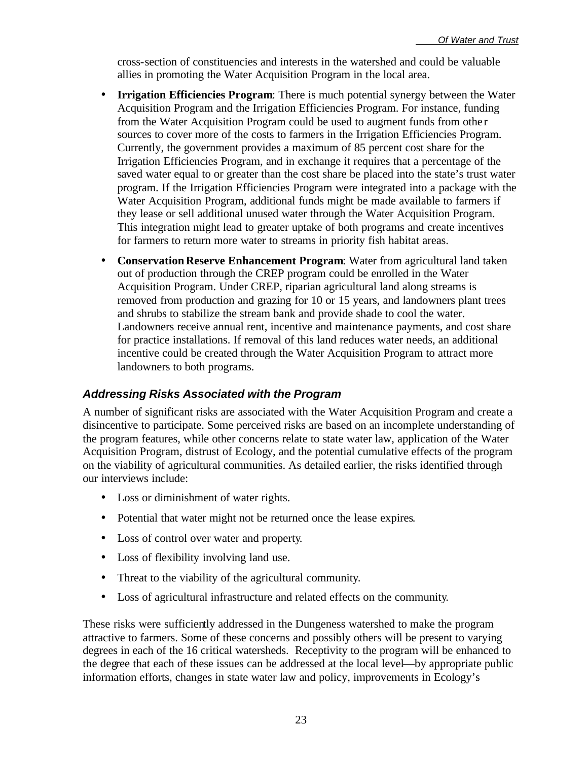cross-section of constituencies and interests in the watershed and could be valuable allies in promoting the Water Acquisition Program in the local area.

- **Irrigation Efficiencies Program**: There is much potential synergy between the Water Acquisition Program and the Irrigation Efficiencies Program. For instance, funding from the Water Acquisition Program could be used to augment funds from othe r sources to cover more of the costs to farmers in the Irrigation Efficiencies Program. Currently, the government provides a maximum of 85 percent cost share for the Irrigation Efficiencies Program, and in exchange it requires that a percentage of the saved water equal to or greater than the cost share be placed into the state's trust water program. If the Irrigation Efficiencies Program were integrated into a package with the Water Acquisition Program, additional funds might be made available to farmers if they lease or sell additional unused water through the Water Acquisition Program. This integration might lead to greater uptake of both programs and create incentives for farmers to return more water to streams in priority fish habitat areas.
- **Conservation Reserve Enhancement Program**: Water from agricultural land taken out of production through the CREP program could be enrolled in the Water Acquisition Program. Under CREP, riparian agricultural land along streams is removed from production and grazing for 10 or 15 years, and landowners plant trees and shrubs to stabilize the stream bank and provide shade to cool the water. Landowners receive annual rent, incentive and maintenance payments, and cost share for practice installations. If removal of this land reduces water needs, an additional incentive could be created through the Water Acquisition Program to attract more landowners to both programs.

#### *Addressing Risks Associated with the Program*

A number of significant risks are associated with the Water Acquisition Program and create a disincentive to participate. Some perceived risks are based on an incomplete understanding of the program features, while other concerns relate to state water law, application of the Water Acquisition Program, distrust of Ecology, and the potential cumulative effects of the program on the viability of agricultural communities. As detailed earlier, the risks identified through our interviews include:

- Loss or diminishment of water rights.
- Potential that water might not be returned once the lease expires.
- Loss of control over water and property.
- Loss of flexibility involving land use.
- Threat to the viability of the agricultural community.
- Loss of agricultural infrastructure and related effects on the community.

These risks were sufficiently addressed in the Dungeness watershed to make the program attractive to farmers. Some of these concerns and possibly others will be present to varying degrees in each of the 16 critical watersheds. Receptivity to the program will be enhanced to the degree that each of these issues can be addressed at the local level—by appropriate public information efforts, changes in state water law and policy, improvements in Ecology's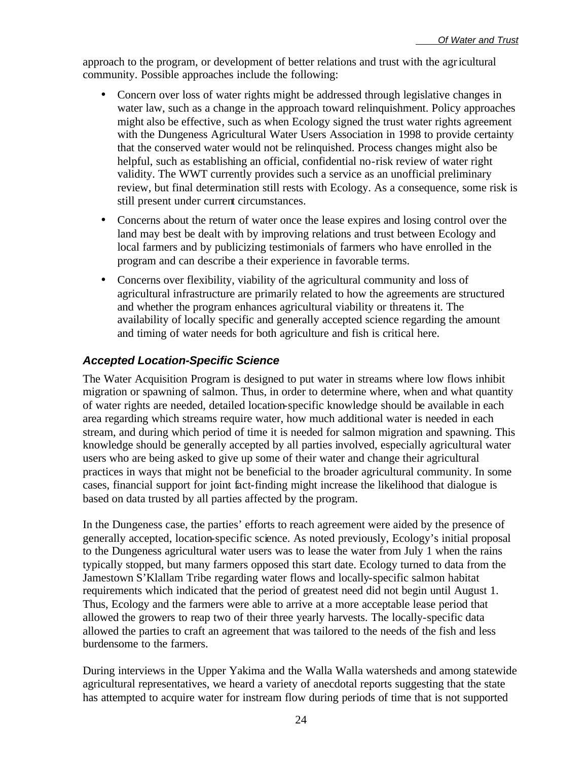approach to the program, or development of better relations and trust with the agricultural community. Possible approaches include the following:

- Concern over loss of water rights might be addressed through legislative changes in water law, such as a change in the approach toward relinquishment. Policy approaches might also be effective, such as when Ecology signed the trust water rights agreement with the Dungeness Agricultural Water Users Association in 1998 to provide certainty that the conserved water would not be relinquished. Process changes might also be helpful, such as establishing an official, confidential no-risk review of water right validity. The WWT currently provides such a service as an unofficial preliminary review, but final determination still rests with Ecology. As a consequence, some risk is still present under current circumstances.
- Concerns about the return of water once the lease expires and losing control over the land may best be dealt with by improving relations and trust between Ecology and local farmers and by publicizing testimonials of farmers who have enrolled in the program and can describe a their experience in favorable terms.
- Concerns over flexibility, viability of the agricultural community and loss of agricultural infrastructure are primarily related to how the agreements are structured and whether the program enhances agricultural viability or threatens it. The availability of locally specific and generally accepted science regarding the amount and timing of water needs for both agriculture and fish is critical here.

#### *Accepted Location-Specific Science*

The Water Acquisition Program is designed to put water in streams where low flows inhibit migration or spawning of salmon. Thus, in order to determine where, when and what quantity of water rights are needed, detailed location-specific knowledge should be available in each area regarding which streams require water, how much additional water is needed in each stream, and during which period of time it is needed for salmon migration and spawning. This knowledge should be generally accepted by all parties involved, especially agricultural water users who are being asked to give up some of their water and change their agricultural practices in ways that might not be beneficial to the broader agricultural community. In some cases, financial support for joint fact-finding might increase the likelihood that dialogue is based on data trusted by all parties affected by the program.

In the Dungeness case, the parties' efforts to reach agreement were aided by the presence of generally accepted, location-specific science. As noted previously, Ecology's initial proposal to the Dungeness agricultural water users was to lease the water from July 1 when the rains typically stopped, but many farmers opposed this start date. Ecology turned to data from the Jamestown S'Klallam Tribe regarding water flows and locally-specific salmon habitat requirements which indicated that the period of greatest need did not begin until August 1. Thus, Ecology and the farmers were able to arrive at a more acceptable lease period that allowed the growers to reap two of their three yearly harvests. The locally-specific data allowed the parties to craft an agreement that was tailored to the needs of the fish and less burdensome to the farmers.

During interviews in the Upper Yakima and the Walla Walla watersheds and among statewide agricultural representatives, we heard a variety of anecdotal reports suggesting that the state has attempted to acquire water for instream flow during periods of time that is not supported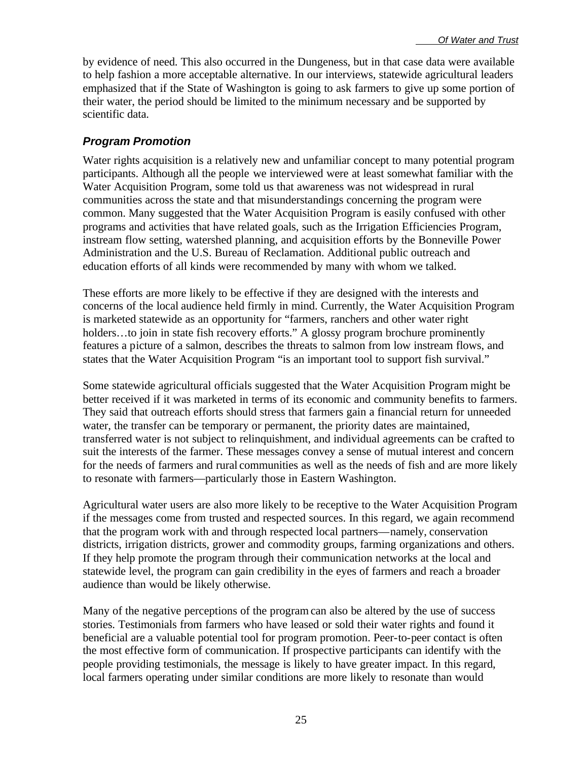by evidence of need. This also occurred in the Dungeness, but in that case data were available to help fashion a more acceptable alternative. In our interviews, statewide agricultural leaders emphasized that if the State of Washington is going to ask farmers to give up some portion of their water, the period should be limited to the minimum necessary and be supported by scientific data.

#### *Program Promotion*

Water rights acquisition is a relatively new and unfamiliar concept to many potential program participants. Although all the people we interviewed were at least somewhat familiar with the Water Acquisition Program, some told us that awareness was not widespread in rural communities across the state and that misunderstandings concerning the program were common. Many suggested that the Water Acquisition Program is easily confused with other programs and activities that have related goals, such as the Irrigation Efficiencies Program, instream flow setting, watershed planning, and acquisition efforts by the Bonneville Power Administration and the U.S. Bureau of Reclamation. Additional public outreach and education efforts of all kinds were recommended by many with whom we talked.

These efforts are more likely to be effective if they are designed with the interests and concerns of the local audience held firmly in mind. Currently, the Water Acquisition Program is marketed statewide as an opportunity for "farmers, ranchers and other water right holders...to join in state fish recovery efforts." A glossy program brochure prominently features a picture of a salmon, describes the threats to salmon from low instream flows, and states that the Water Acquisition Program "is an important tool to support fish survival."

Some statewide agricultural officials suggested that the Water Acquisition Program might be better received if it was marketed in terms of its economic and community benefits to farmers. They said that outreach efforts should stress that farmers gain a financial return for unneeded water, the transfer can be temporary or permanent, the priority dates are maintained, transferred water is not subject to relinquishment, and individual agreements can be crafted to suit the interests of the farmer. These messages convey a sense of mutual interest and concern for the needs of farmers and rural communities as well as the needs of fish and are more likely to resonate with farmers—particularly those in Eastern Washington.

Agricultural water users are also more likely to be receptive to the Water Acquisition Program if the messages come from trusted and respected sources. In this regard, we again recommend that the program work with and through respected local partners—namely, conservation districts, irrigation districts, grower and commodity groups, farming organizations and others. If they help promote the program through their communication networks at the local and statewide level, the program can gain credibility in the eyes of farmers and reach a broader audience than would be likely otherwise.

Many of the negative perceptions of the program can also be altered by the use of success stories. Testimonials from farmers who have leased or sold their water rights and found it beneficial are a valuable potential tool for program promotion. Peer-to-peer contact is often the most effective form of communication. If prospective participants can identify with the people providing testimonials, the message is likely to have greater impact. In this regard, local farmers operating under similar conditions are more likely to resonate than would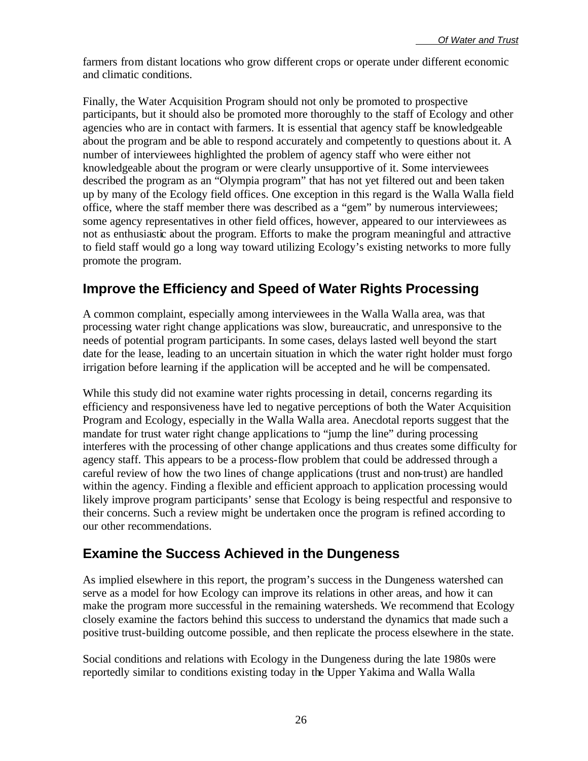farmers from distant locations who grow different crops or operate under different economic and climatic conditions.

Finally, the Water Acquisition Program should not only be promoted to prospective participants, but it should also be promoted more thoroughly to the staff of Ecology and other agencies who are in contact with farmers. It is essential that agency staff be knowledgeable about the program and be able to respond accurately and competently to questions about it. A number of interviewees highlighted the problem of agency staff who were either not knowledgeable about the program or were clearly unsupportive of it. Some interviewees described the program as an "Olympia program" that has not yet filtered out and been taken up by many of the Ecology field offices. One exception in this regard is the Walla Walla field office, where the staff member there was described as a "gem" by numerous interviewees; some agency representatives in other field offices, however, appeared to our interviewees as not as enthusiastic about the program. Efforts to make the program meaningful and attractive to field staff would go a long way toward utilizing Ecology's existing networks to more fully promote the program.

### **Improve the Efficiency and Speed of Water Rights Processing**

A common complaint, especially among interviewees in the Walla Walla area, was that processing water right change applications was slow, bureaucratic, and unresponsive to the needs of potential program participants. In some cases, delays lasted well beyond the start date for the lease, leading to an uncertain situation in which the water right holder must forgo irrigation before learning if the application will be accepted and he will be compensated.

While this study did not examine water rights processing in detail, concerns regarding its efficiency and responsiveness have led to negative perceptions of both the Water Acquisition Program and Ecology, especially in the Walla Walla area. Anecdotal reports suggest that the mandate for trust water right change applications to "jump the line" during processing interferes with the processing of other change applications and thus creates some difficulty for agency staff. This appears to be a process-flow problem that could be addressed through a careful review of how the two lines of change applications (trust and non-trust) are handled within the agency. Finding a flexible and efficient approach to application processing would likely improve program participants' sense that Ecology is being respectful and responsive to their concerns. Such a review might be undertaken once the program is refined according to our other recommendations.

### **Examine the Success Achieved in the Dungeness**

As implied elsewhere in this report, the program's success in the Dungeness watershed can serve as a model for how Ecology can improve its relations in other areas, and how it can make the program more successful in the remaining watersheds. We recommend that Ecology closely examine the factors behind this success to understand the dynamics that made such a positive trust-building outcome possible, and then replicate the process elsewhere in the state.

Social conditions and relations with Ecology in the Dungeness during the late 1980s were reportedly similar to conditions existing today in the Upper Yakima and Walla Walla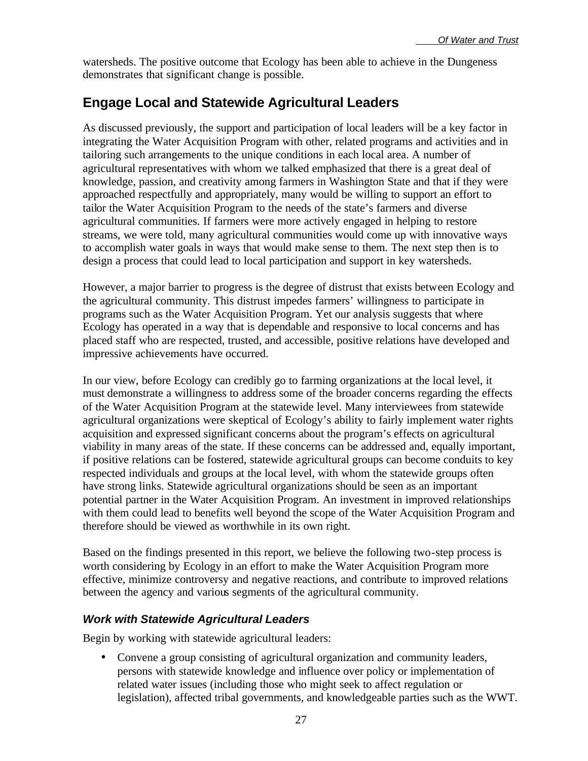watersheds. The positive outcome that Ecology has been able to achieve in the Dungeness demonstrates that significant change is possible.

## **Engage Local and Statewide Agricultural Leaders**

As discussed previously, the support and participation of local leaders will be a key factor in integrating the Water Acquisition Program with other, related programs and activities and in tailoring such arrangements to the unique conditions in each local area. A number of agricultural representatives with whom we talked emphasized that there is a great deal of knowledge, passion, and creativity among farmers in Washington State and that if they were approached respectfully and appropriately, many would be willing to support an effort to tailor the Water Acquisition Program to the needs of the state's farmers and diverse agricultural communities. If farmers were more actively engaged in helping to restore streams, we were told, many agricultural communities would come up with innovative ways to accomplish water goals in ways that would make sense to them. The next step then is to design a process that could lead to local participation and support in key watersheds.

However, a major barrier to progress is the degree of distrust that exists between Ecology and the agricultural community. This distrust impedes farmers' willingness to participate in programs such as the Water Acquisition Program. Yet our analysis suggests that where Ecology has operated in a way that is dependable and responsive to local concerns and has placed staff who are respected, trusted, and accessible, positive relations have developed and impressive achievements have occurred.

In our view, before Ecology can credibly go to farming organizations at the local level, it must demonstrate a willingness to address some of the broader concerns regarding the effects of the Water Acquisition Program at the statewide level. Many interviewees from statewide agricultural organizations were skeptical of Ecology's ability to fairly implement water rights acquisition and expressed significant concerns about the program's effects on agricultural viability in many areas of the state. If these concerns can be addressed and, equally important, if positive relations can be fostered, statewide agricultural groups can become conduits to key respected individuals and groups at the local level, with whom the statewide groups often have strong links. Statewide agricultural organizations should be seen as an important potential partner in the Water Acquisition Program. An investment in improved relationships with them could lead to benefits well beyond the scope of the Water Acquisition Program and therefore should be viewed as worthwhile in its own right.

Based on the findings presented in this report, we believe the following two-step process is worth considering by Ecology in an effort to make the Water Acquisition Program more effective, minimize controversy and negative reactions, and contribute to improved relations between the agency and various segments of the agricultural community.

#### *Work with Statewide Agricultural Leaders*

Begin by working with statewide agricultural leaders:

• Convene a group consisting of agricultural organization and community leaders, persons with statewide knowledge and influence over policy or implementation of related water issues (including those who might seek to affect regulation or legislation), affected tribal governments, and knowledgeable parties such as the WWT.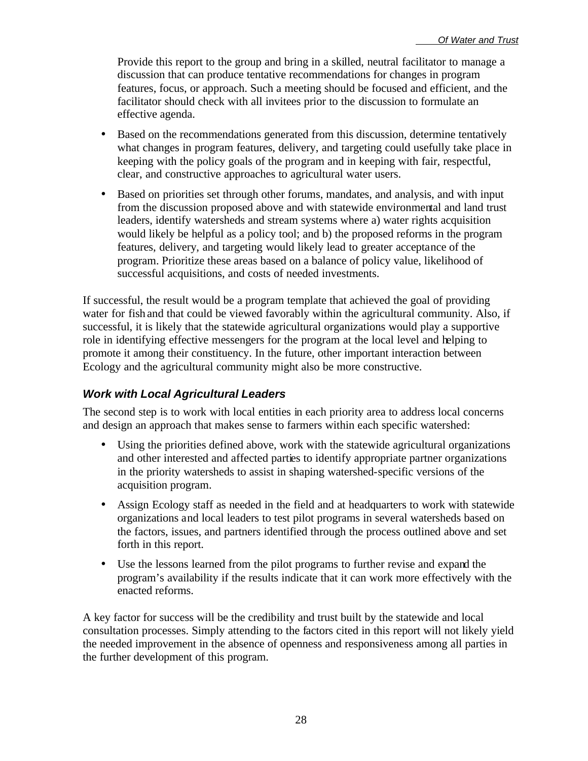Provide this report to the group and bring in a skilled, neutral facilitator to manage a discussion that can produce tentative recommendations for changes in program features, focus, or approach. Such a meeting should be focused and efficient, and the facilitator should check with all invitees prior to the discussion to formulate an effective agenda.

- Based on the recommendations generated from this discussion, determine tentatively what changes in program features, delivery, and targeting could usefully take place in keeping with the policy goals of the program and in keeping with fair, respectful, clear, and constructive approaches to agricultural water users.
- Based on priorities set through other forums, mandates, and analysis, and with input from the discussion proposed above and with statewide environmental and land trust leaders, identify watersheds and stream systems where a) water rights acquisition would likely be helpful as a policy tool; and b) the proposed reforms in the program features, delivery, and targeting would likely lead to greater acceptance of the program. Prioritize these areas based on a balance of policy value, likelihood of successful acquisitions, and costs of needed investments.

If successful, the result would be a program template that achieved the goal of providing water for fish and that could be viewed favorably within the agricultural community. Also, if successful, it is likely that the statewide agricultural organizations would play a supportive role in identifying effective messengers for the program at the local level and helping to promote it among their constituency. In the future, other important interaction between Ecology and the agricultural community might also be more constructive.

#### *Work with Local Agricultural Leaders*

The second step is to work with local entities in each priority area to address local concerns and design an approach that makes sense to farmers within each specific watershed:

- Using the priorities defined above, work with the statewide agricultural organizations and other interested and affected parties to identify appropriate partner organizations in the priority watersheds to assist in shaping watershed-specific versions of the acquisition program.
- Assign Ecology staff as needed in the field and at headquarters to work with statewide organizations and local leaders to test pilot programs in several watersheds based on the factors, issues, and partners identified through the process outlined above and set forth in this report.
- Use the lessons learned from the pilot programs to further revise and expand the program's availability if the results indicate that it can work more effectively with the enacted reforms.

A key factor for success will be the credibility and trust built by the statewide and local consultation processes. Simply attending to the factors cited in this report will not likely yield the needed improvement in the absence of openness and responsiveness among all parties in the further development of this program.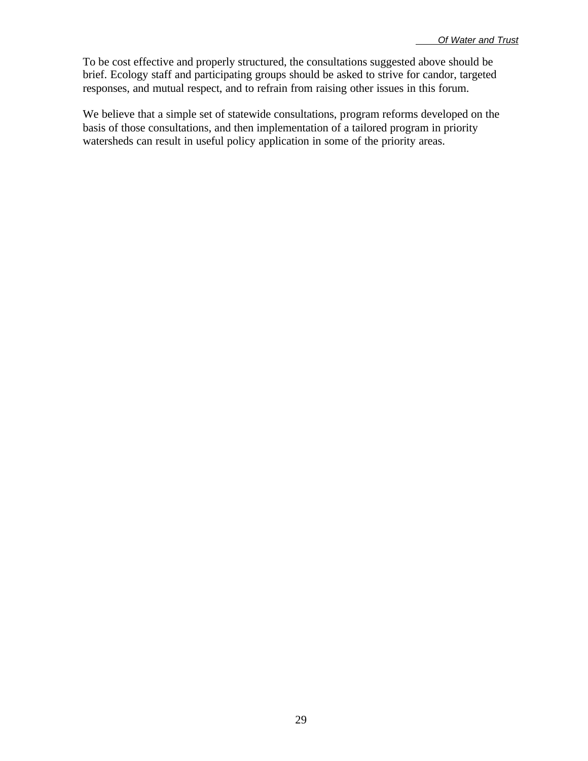To be cost effective and properly structured, the consultations suggested above should be brief. Ecology staff and participating groups should be asked to strive for candor, targeted responses, and mutual respect, and to refrain from raising other issues in this forum.

We believe that a simple set of statewide consultations, program reforms developed on the basis of those consultations, and then implementation of a tailored program in priority watersheds can result in useful policy application in some of the priority areas.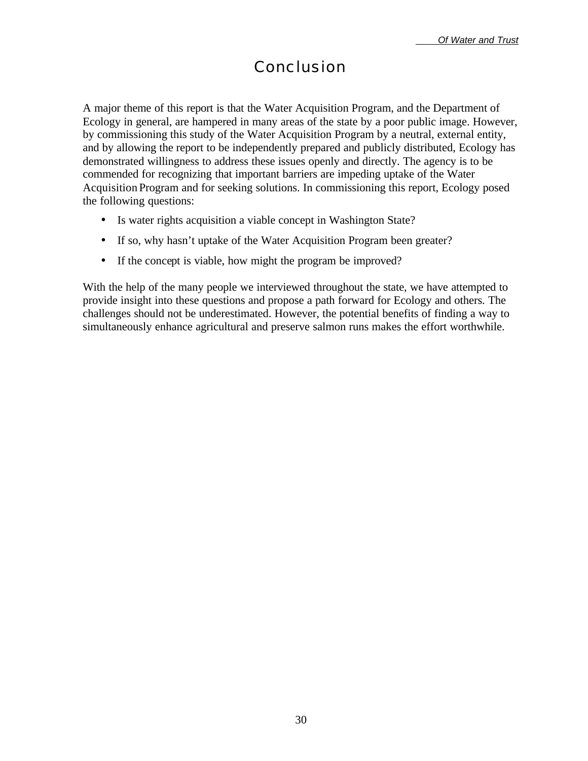## Conclusion

A major theme of this report is that the Water Acquisition Program, and the Department of Ecology in general, are hampered in many areas of the state by a poor public image. However, by commissioning this study of the Water Acquisition Program by a neutral, external entity, and by allowing the report to be independently prepared and publicly distributed, Ecology has demonstrated willingness to address these issues openly and directly. The agency is to be commended for recognizing that important barriers are impeding uptake of the Water Acquisition Program and for seeking solutions. In commissioning this report, Ecology posed the following questions:

- Is water rights acquisition a viable concept in Washington State?
- If so, why hasn't uptake of the Water Acquisition Program been greater?
- If the concept is viable, how might the program be improved?

With the help of the many people we interviewed throughout the state, we have attempted to provide insight into these questions and propose a path forward for Ecology and others. The challenges should not be underestimated. However, the potential benefits of finding a way to simultaneously enhance agricultural and preserve salmon runs makes the effort worthwhile.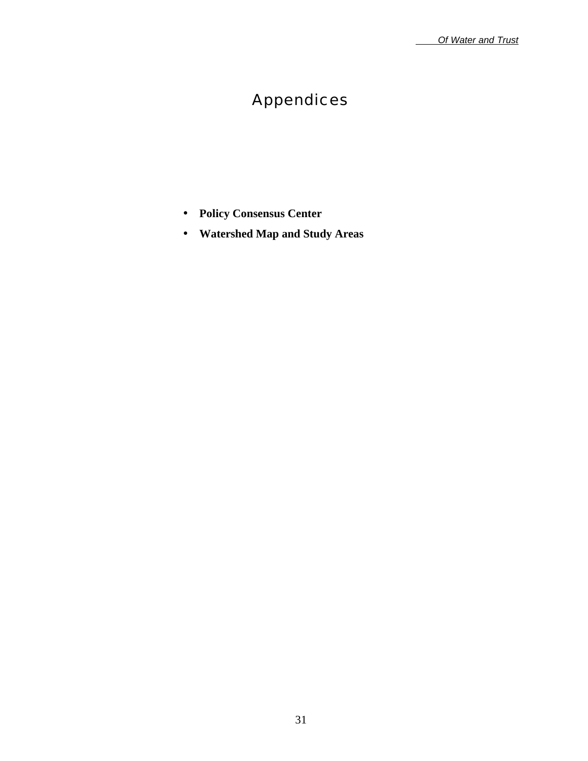# Appendices

- **Policy Consensus Center**
- **Watershed Map and Study Areas**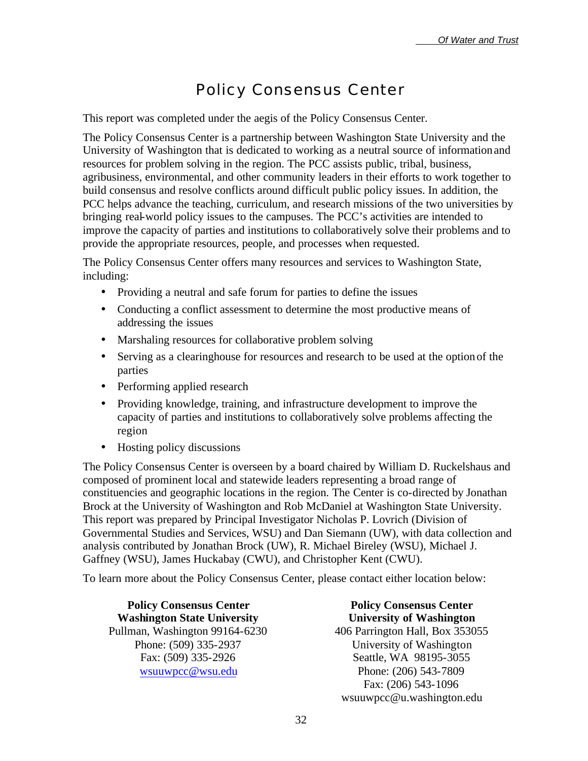## Policy Consensus Center

This report was completed under the aegis of the Policy Consensus Center.

The Policy Consensus Center is a partnership between Washington State University and the University of Washington that is dedicated to working as a neutral source of information and resources for problem solving in the region. The PCC assists public, tribal, business, agribusiness, environmental, and other community leaders in their efforts to work together to build consensus and resolve conflicts around difficult public policy issues. In addition, the PCC helps advance the teaching, curriculum, and research missions of the two universities by bringing real-world policy issues to the campuses. The PCC's activities are intended to improve the capacity of parties and institutions to collaboratively solve their problems and to provide the appropriate resources, people, and processes when requested.

The Policy Consensus Center offers many resources and services to Washington State, including:

- Providing a neutral and safe forum for parties to define the issues
- Conducting a conflict assessment to determine the most productive means of addressing the issues
- Marshaling resources for collaborative problem solving
- Serving as a clearinghouse for resources and research to be used at the option of the parties
- Performing applied research
- Providing knowledge, training, and infrastructure development to improve the capacity of parties and institutions to collaboratively solve problems affecting the region
- Hosting policy discussions

The Policy Consensus Center is overseen by a board chaired by William D. Ruckelshaus and composed of prominent local and statewide leaders representing a broad range of constituencies and geographic locations in the region. The Center is co-directed by Jonathan Brock at the University of Washington and Rob McDaniel at Washington State University. This report was prepared by Principal Investigator Nicholas P. Lovrich (Division of Governmental Studies and Services, WSU) and Dan Siemann (UW), with data collection and analysis contributed by Jonathan Brock (UW), R. Michael Bireley (WSU), Michael J. Gaffney (WSU), James Huckabay (CWU), and Christopher Kent (CWU).

To learn more about the Policy Consensus Center, please contact either location below:

**Policy Consensus Center Washington State University** Pullman, Washington 99164-6230 Phone: (509) 335-2937 Fax: (509) 335-2926 wsuuwpcc@wsu.edu

**Policy Consensus Center University of Washington** 406 Parrington Hall, Box 353055 University of Washington Seattle, WA 98195-3055 Phone: (206) 543-7809 Fax: (206) 543-1096 wsuuwpcc@u.washington.edu